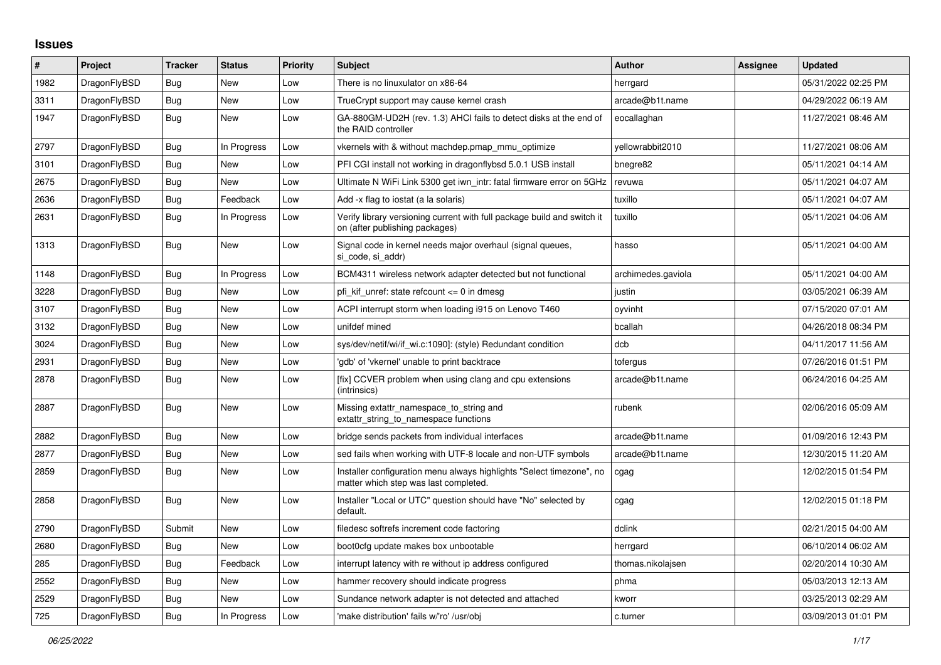## **Issues**

| #    | Project      | <b>Tracker</b> | <b>Status</b> | <b>Priority</b> | <b>Subject</b>                                                                                                | <b>Author</b>      | Assignee | <b>Updated</b>      |
|------|--------------|----------------|---------------|-----------------|---------------------------------------------------------------------------------------------------------------|--------------------|----------|---------------------|
| 1982 | DragonFlyBSD | Bug            | <b>New</b>    | Low             | There is no linuxulator on x86-64                                                                             | herrgard           |          | 05/31/2022 02:25 PM |
| 3311 | DragonFlyBSD | Bug            | <b>New</b>    | Low             | TrueCrypt support may cause kernel crash                                                                      | arcade@b1t.name    |          | 04/29/2022 06:19 AM |
| 1947 | DragonFlyBSD | Bug            | <b>New</b>    | Low             | GA-880GM-UD2H (rev. 1.3) AHCI fails to detect disks at the end of<br>the RAID controller                      | eocallaghan        |          | 11/27/2021 08:46 AM |
| 2797 | DragonFlyBSD | <b>Bug</b>     | In Progress   | Low             | vkernels with & without machdep.pmap_mmu_optimize                                                             | yellowrabbit2010   |          | 11/27/2021 08:06 AM |
| 3101 | DragonFlyBSD | Bug            | New           | Low             | PFI CGI install not working in dragonflybsd 5.0.1 USB install                                                 | bnegre82           |          | 05/11/2021 04:14 AM |
| 2675 | DragonFlyBSD | Bug            | <b>New</b>    | Low             | Ultimate N WiFi Link 5300 get iwn intr: fatal firmware error on 5GHz                                          | revuwa             |          | 05/11/2021 04:07 AM |
| 2636 | DragonFlyBSD | Bug            | Feedback      | Low             | Add -x flag to iostat (a la solaris)                                                                          | tuxillo            |          | 05/11/2021 04:07 AM |
| 2631 | DragonFlyBSD | Bug            | In Progress   | Low             | Verify library versioning current with full package build and switch it<br>on (after publishing packages)     | tuxillo            |          | 05/11/2021 04:06 AM |
| 1313 | DragonFlyBSD | <b>Bug</b>     | <b>New</b>    | Low             | Signal code in kernel needs major overhaul (signal queues,<br>si code, si addr)                               | hasso              |          | 05/11/2021 04:00 AM |
| 1148 | DragonFlyBSD | <b>Bug</b>     | In Progress   | Low             | BCM4311 wireless network adapter detected but not functional                                                  | archimedes.gaviola |          | 05/11/2021 04:00 AM |
| 3228 | DragonFlyBSD | <b>Bug</b>     | <b>New</b>    | Low             | pfi kif unref: state refcount $\leq 0$ in dmesg                                                               | justin             |          | 03/05/2021 06:39 AM |
| 3107 | DragonFlyBSD | Bug            | New           | Low             | ACPI interrupt storm when loading i915 on Lenovo T460                                                         | oyvinht            |          | 07/15/2020 07:01 AM |
| 3132 | DragonFlyBSD | Bug            | <b>New</b>    | Low             | unifdef mined                                                                                                 | bcallah            |          | 04/26/2018 08:34 PM |
| 3024 | DragonFlyBSD | Bug            | <b>New</b>    | Low             | sys/dev/netif/wi/if wi.c:1090]: (style) Redundant condition                                                   | dcb                |          | 04/11/2017 11:56 AM |
| 2931 | DragonFlyBSD | Bug            | <b>New</b>    | Low             | 'gdb' of 'vkernel' unable to print backtrace                                                                  | tofergus           |          | 07/26/2016 01:51 PM |
| 2878 | DragonFlyBSD | Bug            | <b>New</b>    | Low             | [fix] CCVER problem when using clang and cpu extensions<br>(intrinsics)                                       | arcade@b1t.name    |          | 06/24/2016 04:25 AM |
| 2887 | DragonFlyBSD | Bug            | <b>New</b>    | Low             | Missing extattr namespace to string and<br>extattr string to namespace functions                              | rubenk             |          | 02/06/2016 05:09 AM |
| 2882 | DragonFlyBSD | Bug            | <b>New</b>    | Low             | bridge sends packets from individual interfaces                                                               | arcade@b1t.name    |          | 01/09/2016 12:43 PM |
| 2877 | DragonFlyBSD | <b>Bug</b>     | <b>New</b>    | Low             | sed fails when working with UTF-8 locale and non-UTF symbols                                                  | arcade@b1t.name    |          | 12/30/2015 11:20 AM |
| 2859 | DragonFlyBSD | Bug            | <b>New</b>    | Low             | Installer configuration menu always highlights "Select timezone", no<br>matter which step was last completed. | cgag               |          | 12/02/2015 01:54 PM |
| 2858 | DragonFlyBSD | Bug            | <b>New</b>    | Low             | Installer "Local or UTC" question should have "No" selected by<br>default.                                    | cgag               |          | 12/02/2015 01:18 PM |
| 2790 | DragonFlyBSD | Submit         | <b>New</b>    | Low             | filedesc softrefs increment code factoring                                                                    | dclink             |          | 02/21/2015 04:00 AM |
| 2680 | DragonFlyBSD | Bug            | <b>New</b>    | Low             | boot0cfg update makes box unbootable                                                                          | herrgard           |          | 06/10/2014 06:02 AM |
| 285  | DragonFlyBSD | Bug            | Feedback      | Low             | interrupt latency with re without ip address configured                                                       | thomas.nikolajsen  |          | 02/20/2014 10:30 AM |
| 2552 | DragonFlyBSD | <b>Bug</b>     | <b>New</b>    | Low             | hammer recovery should indicate progress                                                                      | phma               |          | 05/03/2013 12:13 AM |
| 2529 | DragonFlyBSD | <b>Bug</b>     | <b>New</b>    | Low             | Sundance network adapter is not detected and attached                                                         | kworr              |          | 03/25/2013 02:29 AM |
| 725  | DragonFlyBSD | <b>Bug</b>     | In Progress   | Low             | 'make distribution' fails w/'ro' /usr/obj                                                                     | c.turner           |          | 03/09/2013 01:01 PM |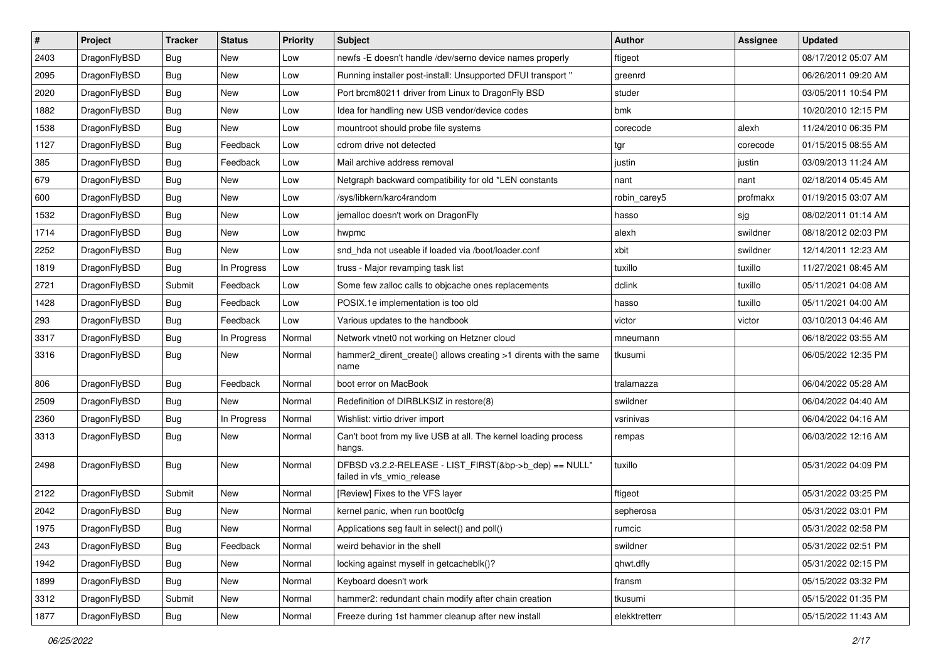| $\sharp$ | Project      | <b>Tracker</b> | <b>Status</b> | <b>Priority</b> | Subject                                                                              | Author        | Assignee | <b>Updated</b>      |
|----------|--------------|----------------|---------------|-----------------|--------------------------------------------------------------------------------------|---------------|----------|---------------------|
| 2403     | DragonFlyBSD | Bug            | New           | Low             | newfs -E doesn't handle /dev/serno device names properly                             | ftigeot       |          | 08/17/2012 05:07 AM |
| 2095     | DragonFlyBSD | Bug            | <b>New</b>    | Low             | Running installer post-install: Unsupported DFUI transport "                         | greenrd       |          | 06/26/2011 09:20 AM |
| 2020     | DragonFlyBSD | Bug            | New           | Low             | Port brcm80211 driver from Linux to DragonFly BSD                                    | studer        |          | 03/05/2011 10:54 PM |
| 1882     | DragonFlyBSD | Bug            | New           | Low             | Idea for handling new USB vendor/device codes                                        | bmk           |          | 10/20/2010 12:15 PM |
| 1538     | DragonFlyBSD | Bug            | <b>New</b>    | Low             | mountroot should probe file systems                                                  | corecode      | alexh    | 11/24/2010 06:35 PM |
| 1127     | DragonFlyBSD | Bug            | Feedback      | Low             | cdrom drive not detected                                                             | tgr           | corecode | 01/15/2015 08:55 AM |
| 385      | DragonFlyBSD | Bug            | Feedback      | Low             | Mail archive address removal                                                         | justin        | justin   | 03/09/2013 11:24 AM |
| 679      | DragonFlyBSD | Bug            | New           | Low             | Netgraph backward compatibility for old *LEN constants                               | nant          | nant     | 02/18/2014 05:45 AM |
| 600      | DragonFlyBSD | Bug            | New           | Low             | /sys/libkern/karc4random                                                             | robin carey5  | profmakx | 01/19/2015 03:07 AM |
| 1532     | DragonFlyBSD | Bug            | <b>New</b>    | Low             | jemalloc doesn't work on DragonFly                                                   | hasso         | ∣sjg     | 08/02/2011 01:14 AM |
| 1714     | DragonFlyBSD | <b>Bug</b>     | New           | Low             | hwpmc                                                                                | alexh         | swildner | 08/18/2012 02:03 PM |
| 2252     | DragonFlyBSD | <b>Bug</b>     | <b>New</b>    | Low             | snd hda not useable if loaded via /boot/loader.conf                                  | xbit          | swildner | 12/14/2011 12:23 AM |
| 1819     | DragonFlyBSD | <b>Bug</b>     | In Progress   | Low             | truss - Major revamping task list                                                    | tuxillo       | tuxillo  | 11/27/2021 08:45 AM |
| 2721     | DragonFlyBSD | Submit         | Feedback      | Low             | Some few zalloc calls to objcache ones replacements                                  | dclink        | tuxillo  | 05/11/2021 04:08 AM |
| 1428     | DragonFlyBSD | Bug            | Feedback      | Low             | POSIX.1e implementation is too old                                                   | hasso         | tuxillo  | 05/11/2021 04:00 AM |
| 293      | DragonFlyBSD | <b>Bug</b>     | Feedback      | Low             | Various updates to the handbook                                                      | victor        | victor   | 03/10/2013 04:46 AM |
| 3317     | DragonFlyBSD | <b>Bug</b>     | In Progress   | Normal          | Network vtnet0 not working on Hetzner cloud                                          | mneumann      |          | 06/18/2022 03:55 AM |
| 3316     | DragonFlyBSD | Bug            | <b>New</b>    | Normal          | hammer2_dirent_create() allows creating >1 dirents with the same<br>name             | tkusumi       |          | 06/05/2022 12:35 PM |
| 806      | DragonFlyBSD | Bug            | Feedback      | Normal          | boot error on MacBook                                                                | tralamazza    |          | 06/04/2022 05:28 AM |
| 2509     | DragonFlyBSD | <b>Bug</b>     | New           | Normal          | Redefinition of DIRBLKSIZ in restore(8)                                              | swildner      |          | 06/04/2022 04:40 AM |
| 2360     | DragonFlyBSD | <b>Bug</b>     | In Progress   | Normal          | Wishlist: virtio driver import                                                       | vsrinivas     |          | 06/04/2022 04:16 AM |
| 3313     | DragonFlyBSD | Bug            | New           | Normal          | Can't boot from my live USB at all. The kernel loading process<br>hangs.             | rempas        |          | 06/03/2022 12:16 AM |
| 2498     | DragonFlyBSD | Bug            | New           | Normal          | DFBSD v3.2.2-RELEASE - LIST_FIRST(&bp->b_dep) == NULL"<br>failed in vfs vmio release | tuxillo       |          | 05/31/2022 04:09 PM |
| 2122     | DragonFlyBSD | Submit         | <b>New</b>    | Normal          | [Review] Fixes to the VFS layer                                                      | ftigeot       |          | 05/31/2022 03:25 PM |
| 2042     | DragonFlyBSD | <b>Bug</b>     | New           | Normal          | kernel panic, when run boot0cfg                                                      | sepherosa     |          | 05/31/2022 03:01 PM |
| 1975     | DragonFlyBSD | Bug            | <b>New</b>    | Normal          | Applications seg fault in select() and poll()                                        | rumcic        |          | 05/31/2022 02:58 PM |
| 243      | DragonFlyBSD | <b>Bug</b>     | Feedback      | Normal          | weird behavior in the shell                                                          | swildner      |          | 05/31/2022 02:51 PM |
| 1942     | DragonFlyBSD | Bug            | <b>New</b>    | Normal          | locking against myself in getcacheblk()?                                             | qhwt.dfly     |          | 05/31/2022 02:15 PM |
| 1899     | DragonFlyBSD | <b>Bug</b>     | New           | Normal          | Keyboard doesn't work                                                                | fransm        |          | 05/15/2022 03:32 PM |
| 3312     | DragonFlyBSD | Submit         | <b>New</b>    | Normal          | hammer2: redundant chain modify after chain creation                                 | tkusumi       |          | 05/15/2022 01:35 PM |
| 1877     | DragonFlyBSD | <b>Bug</b>     | New           | Normal          | Freeze during 1st hammer cleanup after new install                                   | elekktretterr |          | 05/15/2022 11:43 AM |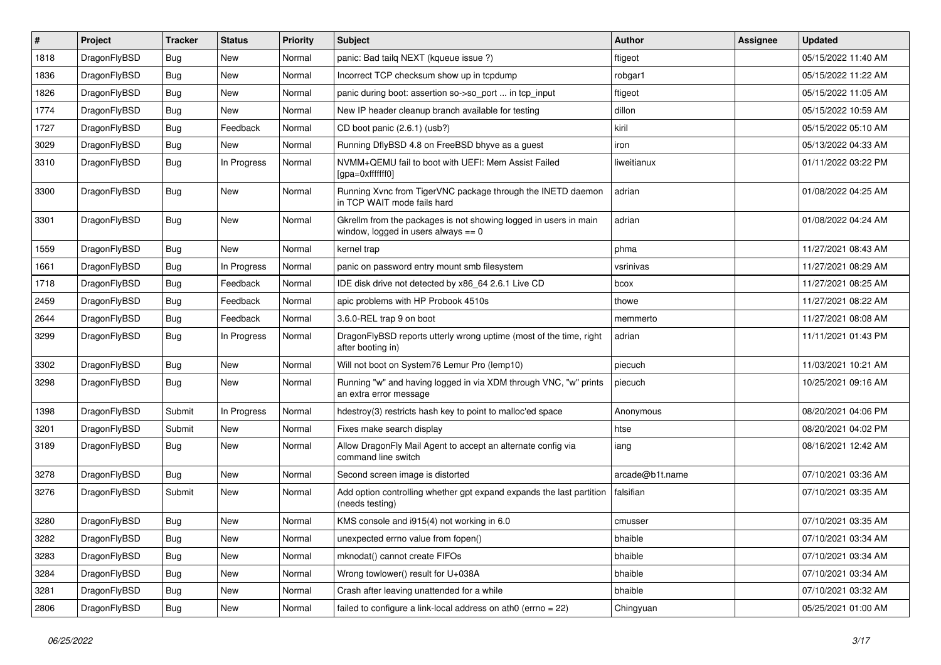| $\#$ | Project      | <b>Tracker</b> | <b>Status</b> | <b>Priority</b> | Subject                                                                                                   | <b>Author</b>   | <b>Assignee</b> | <b>Updated</b>      |
|------|--------------|----------------|---------------|-----------------|-----------------------------------------------------------------------------------------------------------|-----------------|-----------------|---------------------|
| 1818 | DragonFlyBSD | Bug            | New           | Normal          | panic: Bad tailq NEXT (kqueue issue ?)                                                                    | ftigeot         |                 | 05/15/2022 11:40 AM |
| 1836 | DragonFlyBSD | <b>Bug</b>     | <b>New</b>    | Normal          | Incorrect TCP checksum show up in tcpdump                                                                 | robgar1         |                 | 05/15/2022 11:22 AM |
| 1826 | DragonFlyBSD | <b>Bug</b>     | New           | Normal          | panic during boot: assertion so->so port  in tcp input                                                    | ftigeot         |                 | 05/15/2022 11:05 AM |
| 1774 | DragonFlyBSD | Bug            | New           | Normal          | New IP header cleanup branch available for testing                                                        | dillon          |                 | 05/15/2022 10:59 AM |
| 1727 | DragonFlyBSD | <b>Bug</b>     | Feedback      | Normal          | CD boot panic (2.6.1) (usb?)                                                                              | kiril           |                 | 05/15/2022 05:10 AM |
| 3029 | DragonFlyBSD | Bug            | New           | Normal          | Running DflyBSD 4.8 on FreeBSD bhyve as a guest                                                           | iron            |                 | 05/13/2022 04:33 AM |
| 3310 | DragonFlyBSD | <b>Bug</b>     | In Progress   | Normal          | NVMM+QEMU fail to boot with UEFI: Mem Assist Failed<br>[qpa=0xfffffff0]                                   | liweitianux     |                 | 01/11/2022 03:22 PM |
| 3300 | DragonFlyBSD | Bug            | New           | Normal          | Running Xvnc from TigerVNC package through the INETD daemon<br>in TCP WAIT mode fails hard                | adrian          |                 | 01/08/2022 04:25 AM |
| 3301 | DragonFlyBSD | Bug            | New           | Normal          | Gkrellm from the packages is not showing logged in users in main<br>window, logged in users always $== 0$ | adrian          |                 | 01/08/2022 04:24 AM |
| 1559 | DragonFlyBSD | Bug            | New           | Normal          | kernel trap                                                                                               | phma            |                 | 11/27/2021 08:43 AM |
| 1661 | DragonFlyBSD | <b>Bug</b>     | In Progress   | Normal          | panic on password entry mount smb filesystem                                                              | vsrinivas       |                 | 11/27/2021 08:29 AM |
| 1718 | DragonFlyBSD | Bug            | Feedback      | Normal          | IDE disk drive not detected by x86_64 2.6.1 Live CD                                                       | bcox            |                 | 11/27/2021 08:25 AM |
| 2459 | DragonFlyBSD | Bug            | Feedback      | Normal          | apic problems with HP Probook 4510s                                                                       | thowe           |                 | 11/27/2021 08:22 AM |
| 2644 | DragonFlyBSD | <b>Bug</b>     | Feedback      | Normal          | 3.6.0-REL trap 9 on boot                                                                                  | memmerto        |                 | 11/27/2021 08:08 AM |
| 3299 | DragonFlyBSD | <b>Bug</b>     | In Progress   | Normal          | DragonFlyBSD reports utterly wrong uptime (most of the time, right<br>after booting in)                   | adrian          |                 | 11/11/2021 01:43 PM |
| 3302 | DragonFlyBSD | <b>Bug</b>     | New           | Normal          | Will not boot on System76 Lemur Pro (lemp10)                                                              | piecuch         |                 | 11/03/2021 10:21 AM |
| 3298 | DragonFlyBSD | Bug            | <b>New</b>    | Normal          | Running "w" and having logged in via XDM through VNC, "w" prints<br>an extra error message                | piecuch         |                 | 10/25/2021 09:16 AM |
| 1398 | DragonFlyBSD | Submit         | In Progress   | Normal          | hdestroy(3) restricts hash key to point to malloc'ed space                                                | Anonymous       |                 | 08/20/2021 04:06 PM |
| 3201 | DragonFlyBSD | Submit         | <b>New</b>    | Normal          | Fixes make search display                                                                                 | htse            |                 | 08/20/2021 04:02 PM |
| 3189 | DragonFlyBSD | <b>Bug</b>     | New           | Normal          | Allow DragonFly Mail Agent to accept an alternate config via<br>command line switch                       | iang            |                 | 08/16/2021 12:42 AM |
| 3278 | DragonFlyBSD | Bug            | New           | Normal          | Second screen image is distorted                                                                          | arcade@b1t.name |                 | 07/10/2021 03:36 AM |
| 3276 | DragonFlyBSD | Submit         | New           | Normal          | Add option controlling whether gpt expand expands the last partition<br>(needs testing)                   | falsifian       |                 | 07/10/2021 03:35 AM |
| 3280 | DragonFlyBSD | <b>Bug</b>     | New           | Normal          | KMS console and i915(4) not working in 6.0                                                                | cmusser         |                 | 07/10/2021 03:35 AM |
| 3282 | DragonFlyBSD | <b>Bug</b>     | New           | Normal          | unexpected errno value from fopen()                                                                       | bhaible         |                 | 07/10/2021 03:34 AM |
| 3283 | DragonFlyBSD | Bug            | New           | Normal          | mknodat() cannot create FIFOs                                                                             | bhaible         |                 | 07/10/2021 03:34 AM |
| 3284 | DragonFlyBSD | Bug            | New           | Normal          | Wrong towlower() result for U+038A                                                                        | bhaible         |                 | 07/10/2021 03:34 AM |
| 3281 | DragonFlyBSD | Bug            | New           | Normal          | Crash after leaving unattended for a while                                                                | bhaible         |                 | 07/10/2021 03:32 AM |
| 2806 | DragonFlyBSD | Bug            | New           | Normal          | failed to configure a link-local address on ath0 (errno = 22)                                             | Chingyuan       |                 | 05/25/2021 01:00 AM |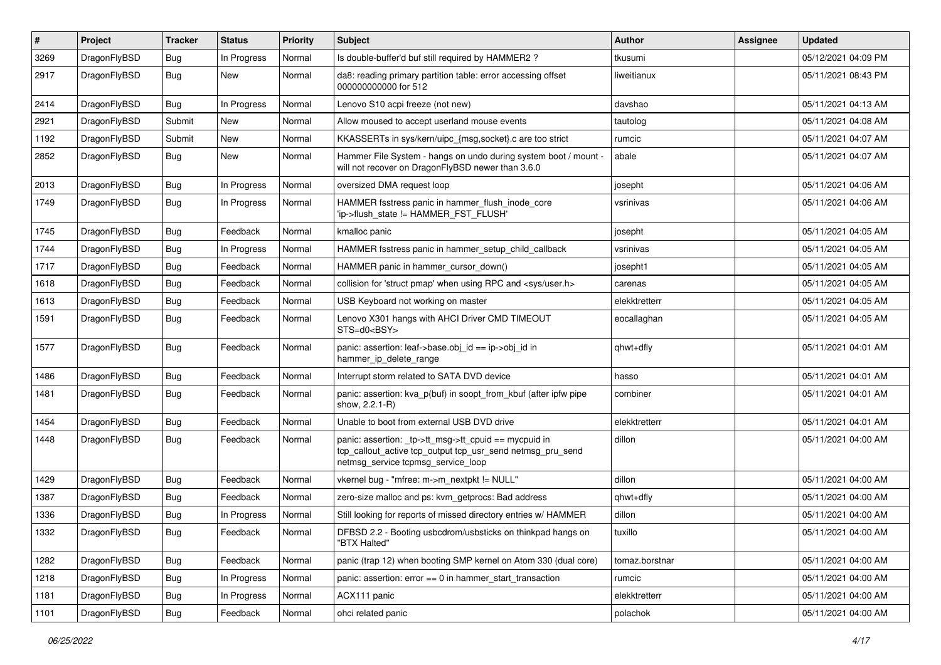| #    | Project      | <b>Tracker</b> | <b>Status</b> | <b>Priority</b> | Subject                                                                                                                                                   | Author         | Assignee | <b>Updated</b>      |
|------|--------------|----------------|---------------|-----------------|-----------------------------------------------------------------------------------------------------------------------------------------------------------|----------------|----------|---------------------|
| 3269 | DragonFlyBSD | Bug            | In Progress   | Normal          | Is double-buffer'd buf still required by HAMMER2 ?                                                                                                        | tkusumi        |          | 05/12/2021 04:09 PM |
| 2917 | DragonFlyBSD | <b>Bug</b>     | New           | Normal          | da8: reading primary partition table: error accessing offset<br>000000000000 for 512                                                                      | liweitianux    |          | 05/11/2021 08:43 PM |
| 2414 | DragonFlyBSD | <b>Bug</b>     | In Progress   | Normal          | Lenovo S10 acpi freeze (not new)                                                                                                                          | davshao        |          | 05/11/2021 04:13 AM |
| 2921 | DragonFlyBSD | Submit         | <b>New</b>    | Normal          | Allow moused to accept userland mouse events                                                                                                              | tautolog       |          | 05/11/2021 04:08 AM |
| 1192 | DragonFlyBSD | Submit         | New           | Normal          | KKASSERTs in sys/kern/uipc {msg,socket}.c are too strict                                                                                                  | rumcic         |          | 05/11/2021 04:07 AM |
| 2852 | DragonFlyBSD | Bug            | <b>New</b>    | Normal          | Hammer File System - hangs on undo during system boot / mount -<br>will not recover on DragonFlyBSD newer than 3.6.0                                      | abale          |          | 05/11/2021 04:07 AM |
| 2013 | DragonFlyBSD | <b>Bug</b>     | In Progress   | Normal          | oversized DMA request loop                                                                                                                                | josepht        |          | 05/11/2021 04:06 AM |
| 1749 | DragonFlyBSD | Bug            | In Progress   | Normal          | HAMMER fsstress panic in hammer_flush_inode_core<br>'ip->flush_state != HAMMER_FST_FLUSH'                                                                 | vsrinivas      |          | 05/11/2021 04:06 AM |
| 1745 | DragonFlyBSD | Bug            | Feedback      | Normal          | kmalloc panic                                                                                                                                             | josepht        |          | 05/11/2021 04:05 AM |
| 1744 | DragonFlyBSD | <b>Bug</b>     | In Progress   | Normal          | HAMMER fsstress panic in hammer setup child callback                                                                                                      | vsrinivas      |          | 05/11/2021 04:05 AM |
| 1717 | DragonFlyBSD | <b>Bug</b>     | Feedback      | Normal          | HAMMER panic in hammer cursor down()                                                                                                                      | josepht1       |          | 05/11/2021 04:05 AM |
| 1618 | DragonFlyBSD | Bug            | Feedback      | Normal          | collision for 'struct pmap' when using RPC and <sys user.h=""></sys>                                                                                      | carenas        |          | 05/11/2021 04:05 AM |
| 1613 | DragonFlyBSD | <b>Bug</b>     | Feedback      | Normal          | USB Keyboard not working on master                                                                                                                        | elekktretterr  |          | 05/11/2021 04:05 AM |
| 1591 | DragonFlyBSD | Bug            | Feedback      | Normal          | Lenovo X301 hangs with AHCI Driver CMD TIMEOUT<br>STS=d0 <bsy></bsy>                                                                                      | eocallaghan    |          | 05/11/2021 04:05 AM |
| 1577 | DragonFlyBSD | <b>Bug</b>     | Feedback      | Normal          | panic: assertion: leaf->base.obj_id == ip->obj_id in<br>hammer_ip_delete_range                                                                            | qhwt+dfly      |          | 05/11/2021 04:01 AM |
| 1486 | DragonFlyBSD | <b>Bug</b>     | Feedback      | Normal          | Interrupt storm related to SATA DVD device                                                                                                                | hasso          |          | 05/11/2021 04:01 AM |
| 1481 | DragonFlyBSD | Bug            | Feedback      | Normal          | panic: assertion: kva p(buf) in soopt from kbuf (after ipfw pipe<br>show, 2.2.1-R)                                                                        | combiner       |          | 05/11/2021 04:01 AM |
| 1454 | DragonFlyBSD | <b>Bug</b>     | Feedback      | Normal          | Unable to boot from external USB DVD drive                                                                                                                | elekktretterr  |          | 05/11/2021 04:01 AM |
| 1448 | DragonFlyBSD | Bug            | Feedback      | Normal          | panic: assertion: _tp->tt_msg->tt_cpuid == mycpuid in<br>tcp_callout_active tcp_output tcp_usr_send netmsg_pru_send<br>netmsg_service tcpmsg_service_loop | dillon         |          | 05/11/2021 04:00 AM |
| 1429 | DragonFlyBSD | Bug            | Feedback      | Normal          | vkernel bug - "mfree: m->m_nextpkt != NULL"                                                                                                               | dillon         |          | 05/11/2021 04:00 AM |
| 1387 | DragonFlyBSD | <b>Bug</b>     | Feedback      | Normal          | zero-size malloc and ps: kvm_getprocs: Bad address                                                                                                        | qhwt+dfly      |          | 05/11/2021 04:00 AM |
| 1336 | DragonFlyBSD | Bug            | In Progress   | Normal          | Still looking for reports of missed directory entries w/ HAMMER                                                                                           | dillon         |          | 05/11/2021 04:00 AM |
| 1332 | DragonFlyBSD | Bug            | Feedback      | Normal          | DFBSD 2.2 - Booting usbcdrom/usbsticks on thinkpad hangs on<br>"BTX Halted"                                                                               | tuxillo        |          | 05/11/2021 04:00 AM |
| 1282 | DragonFlyBSD | <b>Bug</b>     | Feedback      | Normal          | panic (trap 12) when booting SMP kernel on Atom 330 (dual core)                                                                                           | tomaz.borstnar |          | 05/11/2021 04:00 AM |
| 1218 | DragonFlyBSD | <b>Bug</b>     | In Progress   | Normal          | panic: assertion: error == 0 in hammer_start_transaction                                                                                                  | rumcic         |          | 05/11/2021 04:00 AM |
| 1181 | DragonFlyBSD | <b>Bug</b>     | In Progress   | Normal          | ACX111 panic                                                                                                                                              | elekktretterr  |          | 05/11/2021 04:00 AM |
| 1101 | DragonFlyBSD | <b>Bug</b>     | Feedback      | Normal          | ohci related panic                                                                                                                                        | polachok       |          | 05/11/2021 04:00 AM |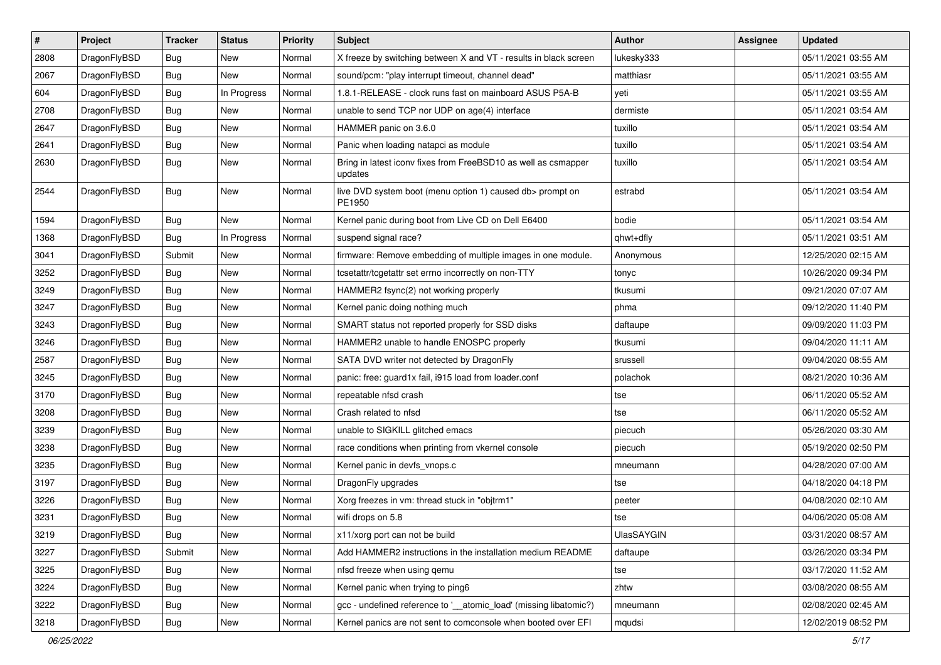| $\sharp$ | Project      | <b>Tracker</b> | <b>Status</b> | <b>Priority</b> | Subject                                                                   | <b>Author</b> | <b>Assignee</b> | <b>Updated</b>      |
|----------|--------------|----------------|---------------|-----------------|---------------------------------------------------------------------------|---------------|-----------------|---------------------|
| 2808     | DragonFlyBSD | Bug            | New           | Normal          | X freeze by switching between X and VT - results in black screen          | lukesky333    |                 | 05/11/2021 03:55 AM |
| 2067     | DragonFlyBSD | Bug            | <b>New</b>    | Normal          | sound/pcm: "play interrupt timeout, channel dead"                         | matthiasr     |                 | 05/11/2021 03:55 AM |
| 604      | DragonFlyBSD | <b>Bug</b>     | In Progress   | Normal          | 1.8.1-RELEASE - clock runs fast on mainboard ASUS P5A-B                   | yeti          |                 | 05/11/2021 03:55 AM |
| 2708     | DragonFlyBSD | Bug            | New           | Normal          | unable to send TCP nor UDP on age(4) interface                            | dermiste      |                 | 05/11/2021 03:54 AM |
| 2647     | DragonFlyBSD | <b>Bug</b>     | <b>New</b>    | Normal          | HAMMER panic on 3.6.0                                                     | tuxillo       |                 | 05/11/2021 03:54 AM |
| 2641     | DragonFlyBSD | <b>Bug</b>     | <b>New</b>    | Normal          | Panic when loading natapci as module                                      | tuxillo       |                 | 05/11/2021 03:54 AM |
| 2630     | DragonFlyBSD | Bug            | <b>New</b>    | Normal          | Bring in latest iconv fixes from FreeBSD10 as well as csmapper<br>updates | tuxillo       |                 | 05/11/2021 03:54 AM |
| 2544     | DragonFlyBSD | Bug            | New           | Normal          | live DVD system boot (menu option 1) caused db> prompt on<br>PE1950       | estrabd       |                 | 05/11/2021 03:54 AM |
| 1594     | DragonFlyBSD | Bug            | <b>New</b>    | Normal          | Kernel panic during boot from Live CD on Dell E6400                       | bodie         |                 | 05/11/2021 03:54 AM |
| 1368     | DragonFlyBSD | Bug            | In Progress   | Normal          | suspend signal race?                                                      | qhwt+dfly     |                 | 05/11/2021 03:51 AM |
| 3041     | DragonFlyBSD | Submit         | New           | Normal          | firmware: Remove embedding of multiple images in one module.              | Anonymous     |                 | 12/25/2020 02:15 AM |
| 3252     | DragonFlyBSD | <b>Bug</b>     | New           | Normal          | tcsetattr/tcgetattr set errno incorrectly on non-TTY                      | tonyc         |                 | 10/26/2020 09:34 PM |
| 3249     | DragonFlyBSD | Bug            | New           | Normal          | HAMMER2 fsync(2) not working properly                                     | tkusumi       |                 | 09/21/2020 07:07 AM |
| 3247     | DragonFlyBSD | Bug            | New           | Normal          | Kernel panic doing nothing much                                           | phma          |                 | 09/12/2020 11:40 PM |
| 3243     | DragonFlyBSD | Bug            | <b>New</b>    | Normal          | SMART status not reported properly for SSD disks                          | daftaupe      |                 | 09/09/2020 11:03 PM |
| 3246     | DragonFlyBSD | Bug            | <b>New</b>    | Normal          | HAMMER2 unable to handle ENOSPC properly                                  | tkusumi       |                 | 09/04/2020 11:11 AM |
| 2587     | DragonFlyBSD | <b>Bug</b>     | <b>New</b>    | Normal          | SATA DVD writer not detected by DragonFly                                 | srussell      |                 | 09/04/2020 08:55 AM |
| 3245     | DragonFlyBSD | <b>Bug</b>     | New           | Normal          | panic: free: guard1x fail, i915 load from loader.conf                     | polachok      |                 | 08/21/2020 10:36 AM |
| 3170     | DragonFlyBSD | Bug            | <b>New</b>    | Normal          | repeatable nfsd crash                                                     | tse           |                 | 06/11/2020 05:52 AM |
| 3208     | DragonFlyBSD | <b>Bug</b>     | <b>New</b>    | Normal          | Crash related to nfsd                                                     | tse           |                 | 06/11/2020 05:52 AM |
| 3239     | DragonFlyBSD | Bug            | New           | Normal          | unable to SIGKILL glitched emacs                                          | piecuch       |                 | 05/26/2020 03:30 AM |
| 3238     | DragonFlyBSD | <b>Bug</b>     | <b>New</b>    | Normal          | race conditions when printing from vkernel console                        | piecuch       |                 | 05/19/2020 02:50 PM |
| 3235     | DragonFlyBSD | <b>Bug</b>     | New           | Normal          | Kernel panic in devfs_vnops.c                                             | mneumann      |                 | 04/28/2020 07:00 AM |
| 3197     | DragonFlyBSD | Bug            | <b>New</b>    | Normal          | DragonFly upgrades                                                        | tse           |                 | 04/18/2020 04:18 PM |
| 3226     | DragonFlyBSD | <b>Bug</b>     | New           | Normal          | Xorg freezes in vm: thread stuck in "objtrm1"                             | peeter        |                 | 04/08/2020 02:10 AM |
| 3231     | DragonFlyBSD | Bug            | <b>New</b>    | Normal          | wifi drops on 5.8                                                         | tse           |                 | 04/06/2020 05:08 AM |
| 3219     | DragonFlyBSD | Bug            | New           | Normal          | x11/xorg port can not be build                                            | UlasSAYGIN    |                 | 03/31/2020 08:57 AM |
| 3227     | DragonFlyBSD | Submit         | New           | Normal          | Add HAMMER2 instructions in the installation medium README                | daftaupe      |                 | 03/26/2020 03:34 PM |
| 3225     | DragonFlyBSD | <b>Bug</b>     | New           | Normal          | nfsd freeze when using qemu                                               | tse           |                 | 03/17/2020 11:52 AM |
| 3224     | DragonFlyBSD | <b>Bug</b>     | New           | Normal          | Kernel panic when trying to ping6                                         | zhtw          |                 | 03/08/2020 08:55 AM |
| 3222     | DragonFlyBSD | <b>Bug</b>     | New           | Normal          | gcc - undefined reference to '__atomic_load' (missing libatomic?)         | mneumann      |                 | 02/08/2020 02:45 AM |
| 3218     | DragonFlyBSD | <b>Bug</b>     | New           | Normal          | Kernel panics are not sent to comconsole when booted over EFI             | mqudsi        |                 | 12/02/2019 08:52 PM |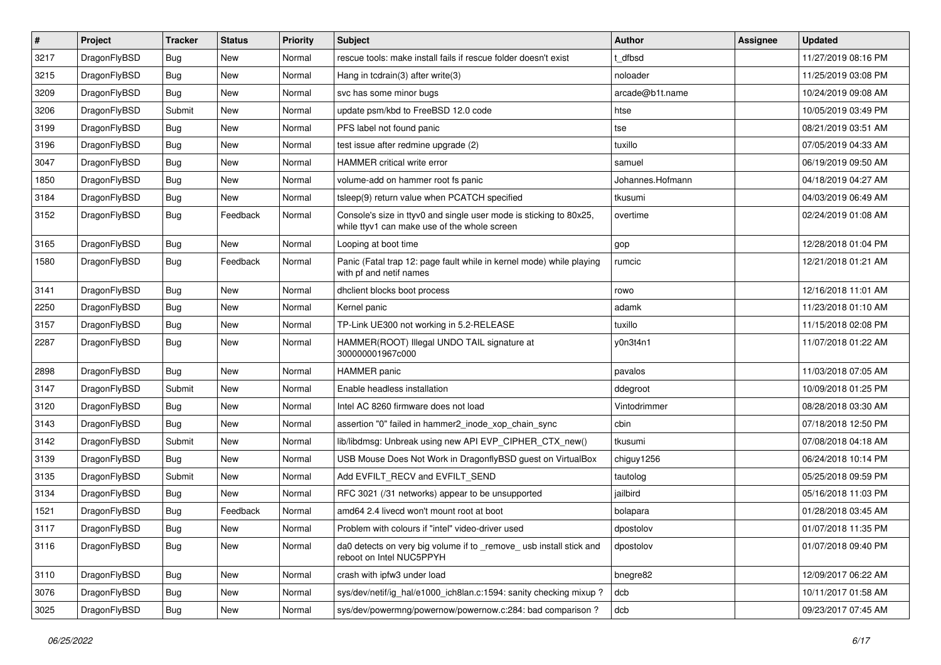| $\vert$ # | Project      | <b>Tracker</b> | <b>Status</b> | <b>Priority</b> | Subject                                                                                                            | Author           | Assignee | <b>Updated</b>      |
|-----------|--------------|----------------|---------------|-----------------|--------------------------------------------------------------------------------------------------------------------|------------------|----------|---------------------|
| 3217      | DragonFlyBSD | Bug            | <b>New</b>    | Normal          | rescue tools: make install fails if rescue folder doesn't exist                                                    | dfbsd            |          | 11/27/2019 08:16 PM |
| 3215      | DragonFlyBSD | Bug            | <b>New</b>    | Normal          | Hang in todrain(3) after write(3)                                                                                  | noloader         |          | 11/25/2019 03:08 PM |
| 3209      | DragonFlyBSD | Bug            | New           | Normal          | svc has some minor bugs                                                                                            | arcade@b1t.name  |          | 10/24/2019 09:08 AM |
| 3206      | DragonFlyBSD | Submit         | New           | Normal          | update psm/kbd to FreeBSD 12.0 code                                                                                | htse             |          | 10/05/2019 03:49 PM |
| 3199      | DragonFlyBSD | <b>Bug</b>     | <b>New</b>    | Normal          | PFS label not found panic                                                                                          | tse              |          | 08/21/2019 03:51 AM |
| 3196      | DragonFlyBSD | Bug            | New           | Normal          | test issue after redmine upgrade (2)                                                                               | tuxillo          |          | 07/05/2019 04:33 AM |
| 3047      | DragonFlyBSD | Bug            | New           | Normal          | <b>HAMMER</b> critical write error                                                                                 | samuel           |          | 06/19/2019 09:50 AM |
| 1850      | DragonFlyBSD | Bug            | New           | Normal          | volume-add on hammer root fs panic                                                                                 | Johannes.Hofmann |          | 04/18/2019 04:27 AM |
| 3184      | DragonFlyBSD | Bug            | New           | Normal          | tsleep(9) return value when PCATCH specified                                                                       | tkusumi          |          | 04/03/2019 06:49 AM |
| 3152      | DragonFlyBSD | Bug            | Feedback      | Normal          | Console's size in ttyv0 and single user mode is sticking to 80x25,<br>while ttyv1 can make use of the whole screen | overtime         |          | 02/24/2019 01:08 AM |
| 3165      | DragonFlyBSD | Bug            | New           | Normal          | Looping at boot time                                                                                               | gop              |          | 12/28/2018 01:04 PM |
| 1580      | DragonFlyBSD | Bug            | Feedback      | Normal          | Panic (Fatal trap 12: page fault while in kernel mode) while playing<br>with pf and netif names                    | rumcic           |          | 12/21/2018 01:21 AM |
| 3141      | DragonFlyBSD | Bug            | <b>New</b>    | Normal          | dhclient blocks boot process                                                                                       | rowo             |          | 12/16/2018 11:01 AM |
| 2250      | DragonFlyBSD | Bug            | New           | Normal          | Kernel panic                                                                                                       | adamk            |          | 11/23/2018 01:10 AM |
| 3157      | DragonFlyBSD | Bug            | <b>New</b>    | Normal          | TP-Link UE300 not working in 5.2-RELEASE                                                                           | tuxillo          |          | 11/15/2018 02:08 PM |
| 2287      | DragonFlyBSD | Bug            | <b>New</b>    | Normal          | HAMMER(ROOT) Illegal UNDO TAIL signature at<br>300000001967c000                                                    | y0n3t4n1         |          | 11/07/2018 01:22 AM |
| 2898      | DragonFlyBSD | Bug            | <b>New</b>    | Normal          | <b>HAMMER</b> panic                                                                                                | pavalos          |          | 11/03/2018 07:05 AM |
| 3147      | DragonFlyBSD | Submit         | New           | Normal          | Enable headless installation                                                                                       | ddegroot         |          | 10/09/2018 01:25 PM |
| 3120      | DragonFlyBSD | Bug            | <b>New</b>    | Normal          | Intel AC 8260 firmware does not load                                                                               | Vintodrimmer     |          | 08/28/2018 03:30 AM |
| 3143      | DragonFlyBSD | Bug            | <b>New</b>    | Normal          | assertion "0" failed in hammer2 inode xop chain sync                                                               | cbin             |          | 07/18/2018 12:50 PM |
| 3142      | DragonFlyBSD | Submit         | New           | Normal          | lib/libdmsg: Unbreak using new API EVP_CIPHER_CTX_new()                                                            | tkusumi          |          | 07/08/2018 04:18 AM |
| 3139      | DragonFlyBSD | Bug            | <b>New</b>    | Normal          | USB Mouse Does Not Work in DragonflyBSD guest on VirtualBox                                                        | chiguy1256       |          | 06/24/2018 10:14 PM |
| 3135      | DragonFlyBSD | Submit         | New           | Normal          | Add EVFILT_RECV and EVFILT_SEND                                                                                    | tautolog         |          | 05/25/2018 09:59 PM |
| 3134      | DragonFlyBSD | Bug            | New           | Normal          | RFC 3021 (/31 networks) appear to be unsupported                                                                   | jailbird         |          | 05/16/2018 11:03 PM |
| 1521      | DragonFlyBSD | <b>Bug</b>     | Feedback      | Normal          | amd64 2.4 livecd won't mount root at boot                                                                          | bolapara         |          | 01/28/2018 03:45 AM |
| 3117      | DragonFlyBSD | Bug            | <b>New</b>    | Normal          | Problem with colours if "intel" video-driver used                                                                  | dpostolov        |          | 01/07/2018 11:35 PM |
| 3116      | DragonFlyBSD | Bug            | New           | Normal          | da0 detects on very big volume if to _remove_ usb install stick and<br>reboot on Intel NUC5PPYH                    | dpostolov        |          | 01/07/2018 09:40 PM |
| 3110      | DragonFlyBSD | Bug            | New           | Normal          | crash with ipfw3 under load                                                                                        | bnegre82         |          | 12/09/2017 06:22 AM |
| 3076      | DragonFlyBSD | Bug            | New           | Normal          | sys/dev/netif/ig_hal/e1000_ich8lan.c:1594: sanity checking mixup?                                                  | dcb              |          | 10/11/2017 01:58 AM |
| 3025      | DragonFlyBSD | Bug            | New           | Normal          | sys/dev/powermng/powernow/powernow.c:284: bad comparison?                                                          | dcb              |          | 09/23/2017 07:45 AM |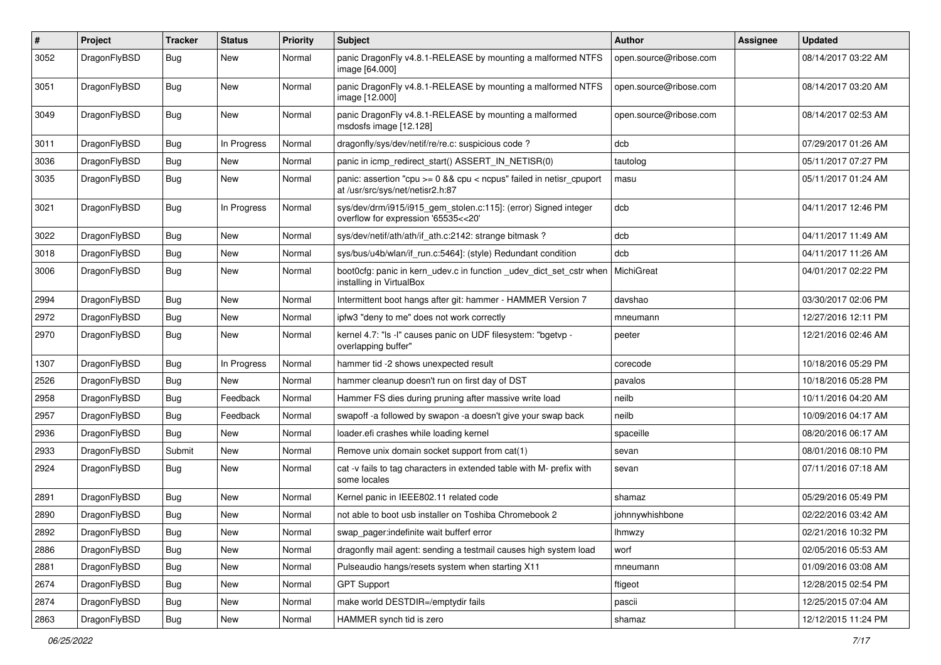| $\#$ | Project      | <b>Tracker</b> | <b>Status</b> | <b>Priority</b> | <b>Subject</b>                                                                                          | Author                 | Assignee | <b>Updated</b>      |
|------|--------------|----------------|---------------|-----------------|---------------------------------------------------------------------------------------------------------|------------------------|----------|---------------------|
| 3052 | DragonFlyBSD | <b>Bug</b>     | <b>New</b>    | Normal          | panic DragonFly v4.8.1-RELEASE by mounting a malformed NTFS<br>image [64.000]                           | open.source@ribose.com |          | 08/14/2017 03:22 AM |
| 3051 | DragonFlyBSD | <b>Bug</b>     | <b>New</b>    | Normal          | panic DragonFly v4.8.1-RELEASE by mounting a malformed NTFS<br>image [12.000]                           | open.source@ribose.com |          | 08/14/2017 03:20 AM |
| 3049 | DragonFlyBSD | <b>Bug</b>     | <b>New</b>    | Normal          | panic DragonFly v4.8.1-RELEASE by mounting a malformed<br>msdosfs image [12.128]                        | open.source@ribose.com |          | 08/14/2017 02:53 AM |
| 3011 | DragonFlyBSD | <b>Bug</b>     | In Progress   | Normal          | dragonfly/sys/dev/netif/re/re.c: suspicious code?                                                       | dcb                    |          | 07/29/2017 01:26 AM |
| 3036 | DragonFlyBSD | Bug            | New           | Normal          | panic in icmp_redirect_start() ASSERT_IN_NETISR(0)                                                      | tautolog               |          | 05/11/2017 07:27 PM |
| 3035 | DragonFlyBSD | <b>Bug</b>     | <b>New</b>    | Normal          | panic: assertion "cpu >= 0 && cpu < ncpus" failed in netisr_cpuport<br>at /usr/src/sys/net/netisr2.h:87 | masu                   |          | 05/11/2017 01:24 AM |
| 3021 | DragonFlyBSD | Bug            | In Progress   | Normal          | sys/dev/drm/i915/i915_gem_stolen.c:115]: (error) Signed integer<br>overflow for expression '65535<<20'  | dcb                    |          | 04/11/2017 12:46 PM |
| 3022 | DragonFlyBSD | <b>Bug</b>     | <b>New</b>    | Normal          | sys/dev/netif/ath/ath/if_ath.c:2142: strange bitmask?                                                   | dcb                    |          | 04/11/2017 11:49 AM |
| 3018 | DragonFlyBSD | Bug            | New           | Normal          | sys/bus/u4b/wlan/if_run.c:5464]: (style) Redundant condition                                            | dcb                    |          | 04/11/2017 11:26 AM |
| 3006 | DragonFlyBSD | Bug            | New           | Normal          | boot0cfg: panic in kern_udev.c in function _udev_dict_set_cstr when<br>installing in VirtualBox         | MichiGreat             |          | 04/01/2017 02:22 PM |
| 2994 | DragonFlyBSD | <b>Bug</b>     | <b>New</b>    | Normal          | Intermittent boot hangs after git: hammer - HAMMER Version 7                                            | davshao                |          | 03/30/2017 02:06 PM |
| 2972 | DragonFlyBSD | <b>Bug</b>     | <b>New</b>    | Normal          | ipfw3 "deny to me" does not work correctly                                                              | mneumann               |          | 12/27/2016 12:11 PM |
| 2970 | DragonFlyBSD | Bug            | New           | Normal          | kernel 4.7: "Is -I" causes panic on UDF filesystem: "bgetvp -<br>overlapping buffer"                    | peeter                 |          | 12/21/2016 02:46 AM |
| 1307 | DragonFlyBSD | Bug            | In Progress   | Normal          | hammer tid -2 shows unexpected result                                                                   | corecode               |          | 10/18/2016 05:29 PM |
| 2526 | DragonFlyBSD | <b>Bug</b>     | <b>New</b>    | Normal          | hammer cleanup doesn't run on first day of DST                                                          | pavalos                |          | 10/18/2016 05:28 PM |
| 2958 | DragonFlyBSD | <b>Bug</b>     | Feedback      | Normal          | Hammer FS dies during pruning after massive write load                                                  | neilb                  |          | 10/11/2016 04:20 AM |
| 2957 | DragonFlyBSD | <b>Bug</b>     | Feedback      | Normal          | swapoff -a followed by swapon -a doesn't give your swap back                                            | neilb                  |          | 10/09/2016 04:17 AM |
| 2936 | DragonFlyBSD | Bug            | <b>New</b>    | Normal          | loader.efi crashes while loading kernel                                                                 | spaceille              |          | 08/20/2016 06:17 AM |
| 2933 | DragonFlyBSD | Submit         | New           | Normal          | Remove unix domain socket support from cat(1)                                                           | sevan                  |          | 08/01/2016 08:10 PM |
| 2924 | DragonFlyBSD | Bug            | New           | Normal          | cat -v fails to tag characters in extended table with M- prefix with<br>some locales                    | sevan                  |          | 07/11/2016 07:18 AM |
| 2891 | DragonFlyBSD | Bug            | <b>New</b>    | Normal          | Kernel panic in IEEE802.11 related code                                                                 | shamaz                 |          | 05/29/2016 05:49 PM |
| 2890 | DragonFlyBSD | Bug            | New           | Normal          | not able to boot usb installer on Toshiba Chromebook 2                                                  | johnnywhishbone        |          | 02/22/2016 03:42 AM |
| 2892 | DragonFlyBSD | <b>Bug</b>     | New           | Normal          | swap_pager:indefinite wait bufferf error                                                                | Ihmwzy                 |          | 02/21/2016 10:32 PM |
| 2886 | DragonFlyBSD | Bug            | New           | Normal          | dragonfly mail agent: sending a testmail causes high system load                                        | worf                   |          | 02/05/2016 05:53 AM |
| 2881 | DragonFlyBSD | <b>Bug</b>     | New           | Normal          | Pulseaudio hangs/resets system when starting X11                                                        | mneumann               |          | 01/09/2016 03:08 AM |
| 2674 | DragonFlyBSD | <b>Bug</b>     | New           | Normal          | <b>GPT Support</b>                                                                                      | ftigeot                |          | 12/28/2015 02:54 PM |
| 2874 | DragonFlyBSD | <b>Bug</b>     | New           | Normal          | make world DESTDIR=/emptydir fails                                                                      | pascii                 |          | 12/25/2015 07:04 AM |
| 2863 | DragonFlyBSD | <b>Bug</b>     | New           | Normal          | HAMMER synch tid is zero                                                                                | shamaz                 |          | 12/12/2015 11:24 PM |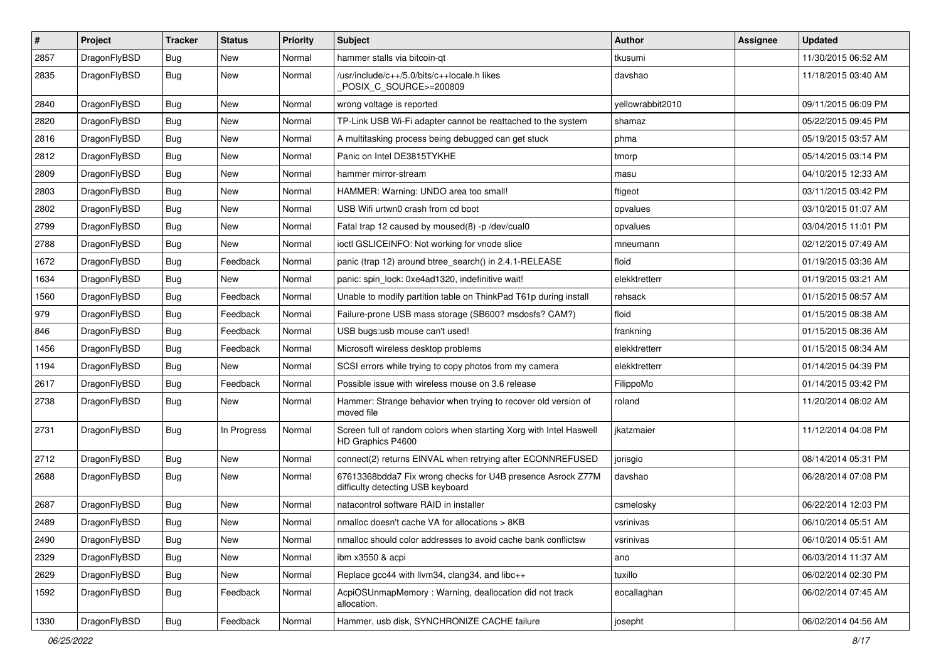| $\pmb{\#}$ | Project      | <b>Tracker</b> | <b>Status</b> | <b>Priority</b> | Subject                                                                                          | <b>Author</b>    | Assignee | <b>Updated</b>      |
|------------|--------------|----------------|---------------|-----------------|--------------------------------------------------------------------------------------------------|------------------|----------|---------------------|
| 2857       | DragonFlyBSD | Bug            | <b>New</b>    | Normal          | hammer stalls via bitcoin-qt                                                                     | tkusumi          |          | 11/30/2015 06:52 AM |
| 2835       | DragonFlyBSD | Bug            | <b>New</b>    | Normal          | /usr/include/c++/5.0/bits/c++locale.h likes<br>POSIX C SOURCE>=200809                            | davshao          |          | 11/18/2015 03:40 AM |
| 2840       | DragonFlyBSD | Bug            | <b>New</b>    | Normal          | wrong voltage is reported                                                                        | yellowrabbit2010 |          | 09/11/2015 06:09 PM |
| 2820       | DragonFlyBSD | Bug            | <b>New</b>    | Normal          | TP-Link USB Wi-Fi adapter cannot be reattached to the system                                     | shamaz           |          | 05/22/2015 09:45 PM |
| 2816       | DragonFlyBSD | Bug            | New           | Normal          | A multitasking process being debugged can get stuck                                              | phma             |          | 05/19/2015 03:57 AM |
| 2812       | DragonFlyBSD | Bug            | <b>New</b>    | Normal          | Panic on Intel DE3815TYKHE                                                                       | tmorp            |          | 05/14/2015 03:14 PM |
| 2809       | DragonFlyBSD | Bug            | <b>New</b>    | Normal          | hammer mirror-stream                                                                             | masu             |          | 04/10/2015 12:33 AM |
| 2803       | DragonFlyBSD | Bug            | <b>New</b>    | Normal          | HAMMER: Warning: UNDO area too small!                                                            | ftigeot          |          | 03/11/2015 03:42 PM |
| 2802       | DragonFlyBSD | Bug            | New           | Normal          | USB Wifi urtwn0 crash from cd boot                                                               | opvalues         |          | 03/10/2015 01:07 AM |
| 2799       | DragonFlyBSD | Bug            | New           | Normal          | Fatal trap 12 caused by moused(8) -p/dev/cual0                                                   | opvalues         |          | 03/04/2015 11:01 PM |
| 2788       | DragonFlyBSD | Bug            | <b>New</b>    | Normal          | ioctl GSLICEINFO: Not working for vnode slice                                                    | mneumann         |          | 02/12/2015 07:49 AM |
| 1672       | DragonFlyBSD | Bug            | Feedback      | Normal          | panic (trap 12) around btree_search() in 2.4.1-RELEASE                                           | floid            |          | 01/19/2015 03:36 AM |
| 1634       | DragonFlyBSD | <b>Bug</b>     | New           | Normal          | panic: spin_lock: 0xe4ad1320, indefinitive wait!                                                 | elekktretterr    |          | 01/19/2015 03:21 AM |
| 1560       | DragonFlyBSD | Bug            | Feedback      | Normal          | Unable to modify partition table on ThinkPad T61p during install                                 | rehsack          |          | 01/15/2015 08:57 AM |
| 979        | DragonFlyBSD | Bug            | Feedback      | Normal          | Failure-prone USB mass storage (SB600? msdosfs? CAM?)                                            | floid            |          | 01/15/2015 08:38 AM |
| 846        | DragonFlyBSD | Bug            | Feedback      | Normal          | USB bugs:usb mouse can't used!                                                                   | frankning        |          | 01/15/2015 08:36 AM |
| 1456       | DragonFlyBSD | Bug            | Feedback      | Normal          | Microsoft wireless desktop problems                                                              | elekktretterr    |          | 01/15/2015 08:34 AM |
| 1194       | DragonFlyBSD | Bug            | New           | Normal          | SCSI errors while trying to copy photos from my camera                                           | elekktretterr    |          | 01/14/2015 04:39 PM |
| 2617       | DragonFlyBSD | Bug            | Feedback      | Normal          | Possible issue with wireless mouse on 3.6 release                                                | FilippoMo        |          | 01/14/2015 03:42 PM |
| 2738       | DragonFlyBSD | Bug            | <b>New</b>    | Normal          | Hammer: Strange behavior when trying to recover old version of<br>moved file                     | roland           |          | 11/20/2014 08:02 AM |
| 2731       | DragonFlyBSD | Bug            | In Progress   | Normal          | Screen full of random colors when starting Xorg with Intel Haswell<br>HD Graphics P4600          | ikatzmaier       |          | 11/12/2014 04:08 PM |
| 2712       | DragonFlyBSD | Bug            | <b>New</b>    | Normal          | connect(2) returns EINVAL when retrying after ECONNREFUSED                                       | jorisgio         |          | 08/14/2014 05:31 PM |
| 2688       | DragonFlyBSD | Bug            | New           | Normal          | 67613368bdda7 Fix wrong checks for U4B presence Asrock Z77M<br>difficulty detecting USB keyboard | davshao          |          | 06/28/2014 07:08 PM |
| 2687       | DragonFlyBSD | Bug            | <b>New</b>    | Normal          | natacontrol software RAID in installer                                                           | csmelosky        |          | 06/22/2014 12:03 PM |
| 2489       | DragonFlyBSD | Bug            | <b>New</b>    | Normal          | nmalloc doesn't cache VA for allocations > 8KB                                                   | vsrinivas        |          | 06/10/2014 05:51 AM |
| 2490       | DragonFlyBSD | <b>Bug</b>     | New           | Normal          | nmalloc should color addresses to avoid cache bank conflictsw                                    | vsrinivas        |          | 06/10/2014 05:51 AM |
| 2329       | DragonFlyBSD | Bug            | New           | Normal          | ibm x3550 & acpi                                                                                 | ano              |          | 06/03/2014 11:37 AM |
| 2629       | DragonFlyBSD | Bug            | New           | Normal          | Replace gcc44 with llvm34, clang34, and libc++                                                   | tuxillo          |          | 06/02/2014 02:30 PM |
| 1592       | DragonFlyBSD | Bug            | Feedback      | Normal          | AcpiOSUnmapMemory: Warning, deallocation did not track<br>allocation.                            | eocallaghan      |          | 06/02/2014 07:45 AM |
| 1330       | DragonFlyBSD | Bug            | Feedback      | Normal          | Hammer, usb disk, SYNCHRONIZE CACHE failure                                                      | josepht          |          | 06/02/2014 04:56 AM |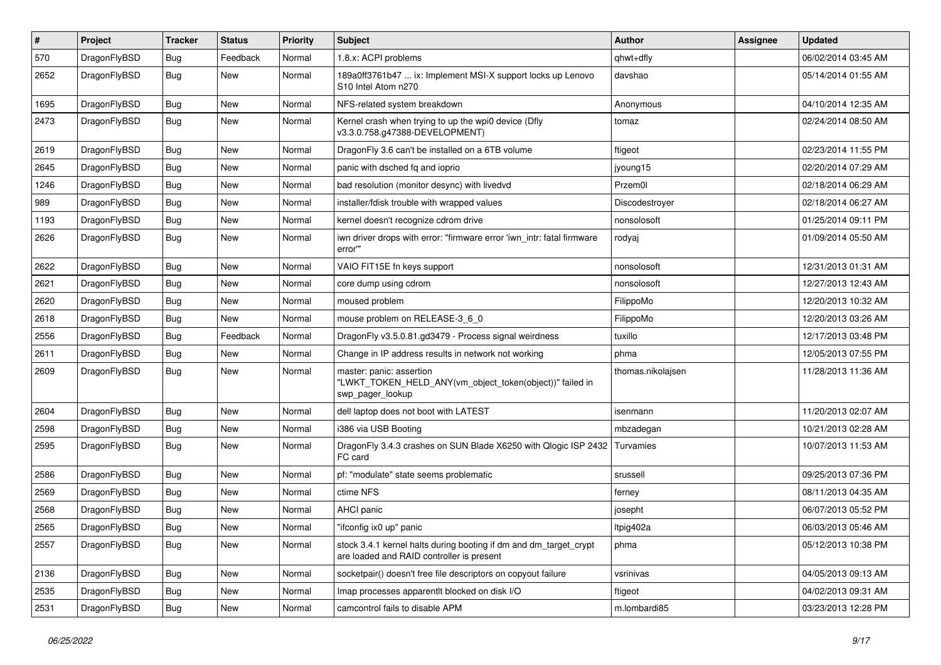| #    | Project      | <b>Tracker</b> | <b>Status</b> | <b>Priority</b> | Subject                                                                                                        | Author            | Assignee | <b>Updated</b>      |
|------|--------------|----------------|---------------|-----------------|----------------------------------------------------------------------------------------------------------------|-------------------|----------|---------------------|
| 570  | DragonFlyBSD | <b>Bug</b>     | Feedback      | Normal          | 1.8.x: ACPI problems                                                                                           | qhwt+dfly         |          | 06/02/2014 03:45 AM |
| 2652 | DragonFlyBSD | <b>Bug</b>     | <b>New</b>    | Normal          | 189a0ff3761b47  ix: Implement MSI-X support locks up Lenovo<br>S <sub>10</sub> Intel Atom n <sub>270</sub>     | davshao           |          | 05/14/2014 01:55 AM |
| 1695 | DragonFlyBSD | Bug            | <b>New</b>    | Normal          | NFS-related system breakdown                                                                                   | Anonymous         |          | 04/10/2014 12:35 AM |
| 2473 | DragonFlyBSD | Bug            | New           | Normal          | Kernel crash when trying to up the wpi0 device (Dfly<br>v3.3.0.758.g47388-DEVELOPMENT)                         | tomaz             |          | 02/24/2014 08:50 AM |
| 2619 | DragonFlyBSD | Bug            | <b>New</b>    | Normal          | DragonFly 3.6 can't be installed on a 6TB volume                                                               | ftigeot           |          | 02/23/2014 11:55 PM |
| 2645 | DragonFlyBSD | <b>Bug</b>     | New           | Normal          | panic with dsched fq and ioprio                                                                                | jyoung15          |          | 02/20/2014 07:29 AM |
| 1246 | DragonFlyBSD | <b>Bug</b>     | New           | Normal          | bad resolution (monitor desync) with livedvd                                                                   | Przem0l           |          | 02/18/2014 06:29 AM |
| 989  | DragonFlyBSD | Bug            | <b>New</b>    | Normal          | installer/fdisk trouble with wrapped values                                                                    | Discodestroyer    |          | 02/18/2014 06:27 AM |
| 1193 | DragonFlyBSD | <b>Bug</b>     | New           | Normal          | kernel doesn't recognize cdrom drive                                                                           | nonsolosoft       |          | 01/25/2014 09:11 PM |
| 2626 | DragonFlyBSD | <b>Bug</b>     | <b>New</b>    | Normal          | iwn driver drops with error: "firmware error 'iwn_intr: fatal firmware<br>error"                               | rodyaj            |          | 01/09/2014 05:50 AM |
| 2622 | DragonFlyBSD | Bug            | <b>New</b>    | Normal          | VAIO FIT15E fn keys support                                                                                    | nonsolosoft       |          | 12/31/2013 01:31 AM |
| 2621 | DragonFlyBSD | Bug            | New           | Normal          | core dump using cdrom                                                                                          | nonsolosoft       |          | 12/27/2013 12:43 AM |
| 2620 | DragonFlyBSD | <b>Bug</b>     | <b>New</b>    | Normal          | moused problem                                                                                                 | FilippoMo         |          | 12/20/2013 10:32 AM |
| 2618 | DragonFlyBSD | <b>Bug</b>     | New           | Normal          | mouse problem on RELEASE-3_6_0                                                                                 | FilippoMo         |          | 12/20/2013 03:26 AM |
| 2556 | DragonFlyBSD | Bug            | Feedback      | Normal          | DragonFly v3.5.0.81.gd3479 - Process signal weirdness                                                          | tuxillo           |          | 12/17/2013 03:48 PM |
| 2611 | DragonFlyBSD | <b>Bug</b>     | New           | Normal          | Change in IP address results in network not working                                                            | phma              |          | 12/05/2013 07:55 PM |
| 2609 | DragonFlyBSD | <b>Bug</b>     | New           | Normal          | master: panic: assertion<br>"LWKT_TOKEN_HELD_ANY(vm_object_token(object))" failed in<br>swp pager lookup       | thomas.nikolajsen |          | 11/28/2013 11:36 AM |
| 2604 | DragonFlyBSD | Bug            | <b>New</b>    | Normal          | dell laptop does not boot with LATEST                                                                          | isenmann          |          | 11/20/2013 02:07 AM |
| 2598 | DragonFlyBSD | <b>Bug</b>     | New           | Normal          | i386 via USB Booting                                                                                           | mbzadegan         |          | 10/21/2013 02:28 AM |
| 2595 | DragonFlyBSD | <b>Bug</b>     | <b>New</b>    | Normal          | DragonFly 3.4.3 crashes on SUN Blade X6250 with Qlogic ISP 2432<br>FC card                                     | Turvamies         |          | 10/07/2013 11:53 AM |
| 2586 | DragonFlyBSD | Bug            | <b>New</b>    | Normal          | pf: "modulate" state seems problematic                                                                         | srussell          |          | 09/25/2013 07:36 PM |
| 2569 | DragonFlyBSD | <b>Bug</b>     | <b>New</b>    | Normal          | ctime NFS                                                                                                      | ferney            |          | 08/11/2013 04:35 AM |
| 2568 | DragonFlyBSD | <b>Bug</b>     | New           | Normal          | AHCI panic                                                                                                     | josepht           |          | 06/07/2013 05:52 PM |
| 2565 | DragonFlyBSD | Bug            | <b>New</b>    | Normal          | "ifconfig ix0 up" panic                                                                                        | Itpig402a         |          | 06/03/2013 05:46 AM |
| 2557 | DragonFlyBSD | Bug            | New           | Normal          | stock 3.4.1 kernel halts during booting if dm and dm_target_crypt<br>are loaded and RAID controller is present | phma              |          | 05/12/2013 10:38 PM |
| 2136 | DragonFlyBSD | <b>Bug</b>     | <b>New</b>    | Normal          | socketpair() doesn't free file descriptors on copyout failure                                                  | vsrinivas         |          | 04/05/2013 09:13 AM |
| 2535 | DragonFlyBSD | <b>Bug</b>     | <b>New</b>    | Normal          | Imap processes apparentlt blocked on disk I/O                                                                  | ftigeot           |          | 04/02/2013 09:31 AM |
| 2531 | DragonFlyBSD | <b>Bug</b>     | New           | Normal          | camcontrol fails to disable APM                                                                                | m.lombardi85      |          | 03/23/2013 12:28 PM |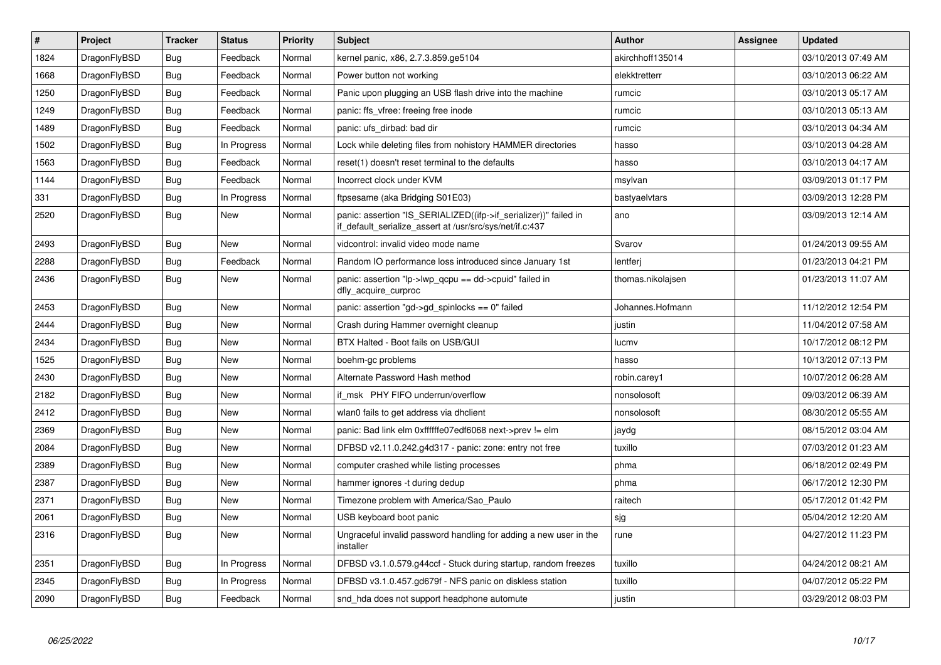| $\vert$ # | Project      | <b>Tracker</b> | <b>Status</b> | Priority | <b>Subject</b>                                                                                                               | Author            | Assignee | <b>Updated</b>      |
|-----------|--------------|----------------|---------------|----------|------------------------------------------------------------------------------------------------------------------------------|-------------------|----------|---------------------|
| 1824      | DragonFlyBSD | Bug            | Feedback      | Normal   | kernel panic, x86, 2.7.3.859.ge5104                                                                                          | akirchhoff135014  |          | 03/10/2013 07:49 AM |
| 1668      | DragonFlyBSD | Bug            | Feedback      | Normal   | Power button not working                                                                                                     | elekktretterr     |          | 03/10/2013 06:22 AM |
| 1250      | DragonFlyBSD | <b>Bug</b>     | Feedback      | Normal   | Panic upon plugging an USB flash drive into the machine                                                                      | rumcic            |          | 03/10/2013 05:17 AM |
| 1249      | DragonFlyBSD | Bug            | Feedback      | Normal   | panic: ffs vfree: freeing free inode                                                                                         | rumcic            |          | 03/10/2013 05:13 AM |
| 1489      | DragonFlyBSD | <b>Bug</b>     | Feedback      | Normal   | panic: ufs_dirbad: bad dir                                                                                                   | rumcic            |          | 03/10/2013 04:34 AM |
| 1502      | DragonFlyBSD | <b>Bug</b>     | In Progress   | Normal   | Lock while deleting files from nohistory HAMMER directories                                                                  | hasso             |          | 03/10/2013 04:28 AM |
| 1563      | DragonFlyBSD | Bug            | Feedback      | Normal   | reset(1) doesn't reset terminal to the defaults                                                                              | hasso             |          | 03/10/2013 04:17 AM |
| 1144      | DragonFlyBSD | <b>Bug</b>     | Feedback      | Normal   | Incorrect clock under KVM                                                                                                    | msylvan           |          | 03/09/2013 01:17 PM |
| 331       | DragonFlyBSD | <b>Bug</b>     | In Progress   | Normal   | ftpsesame (aka Bridging S01E03)                                                                                              | bastyaelvtars     |          | 03/09/2013 12:28 PM |
| 2520      | DragonFlyBSD | <b>Bug</b>     | New           | Normal   | panic: assertion "IS_SERIALIZED((ifp->if_serializer))" failed in<br>if default serialize assert at /usr/src/sys/net/if.c:437 | ano               |          | 03/09/2013 12:14 AM |
| 2493      | DragonFlyBSD | <b>Bug</b>     | <b>New</b>    | Normal   | vidcontrol: invalid video mode name                                                                                          | Svarov            |          | 01/24/2013 09:55 AM |
| 2288      | DragonFlyBSD | Bug            | Feedback      | Normal   | Random IO performance loss introduced since January 1st                                                                      | lentferj          |          | 01/23/2013 04:21 PM |
| 2436      | DragonFlyBSD | Bug            | New           | Normal   | panic: assertion "lp->lwp qcpu == dd->cpuid" failed in<br>dfly_acquire_curproc                                               | thomas.nikolajsen |          | 01/23/2013 11:07 AM |
| 2453      | DragonFlyBSD | Bug            | <b>New</b>    | Normal   | panic: assertion "gd->gd spinlocks == $0$ " failed                                                                           | Johannes.Hofmann  |          | 11/12/2012 12:54 PM |
| 2444      | DragonFlyBSD | <b>Bug</b>     | <b>New</b>    | Normal   | Crash during Hammer overnight cleanup                                                                                        | justin            |          | 11/04/2012 07:58 AM |
| 2434      | DragonFlyBSD | <b>Bug</b>     | <b>New</b>    | Normal   | BTX Halted - Boot fails on USB/GUI                                                                                           | lucmv             |          | 10/17/2012 08:12 PM |
| 1525      | DragonFlyBSD | <b>Bug</b>     | <b>New</b>    | Normal   | boehm-gc problems                                                                                                            | hasso             |          | 10/13/2012 07:13 PM |
| 2430      | DragonFlyBSD | Bug            | <b>New</b>    | Normal   | Alternate Password Hash method                                                                                               | robin.carey1      |          | 10/07/2012 06:28 AM |
| 2182      | DragonFlyBSD | Bug            | New           | Normal   | if msk PHY FIFO underrun/overflow                                                                                            | nonsolosoft       |          | 09/03/2012 06:39 AM |
| 2412      | DragonFlyBSD | Bug            | New           | Normal   | wlan0 fails to get address via dhclient                                                                                      | nonsolosoft       |          | 08/30/2012 05:55 AM |
| 2369      | DragonFlyBSD | Bug            | New           | Normal   | panic: Bad link elm 0xffffffe07edf6068 next->prev != elm                                                                     | jaydg             |          | 08/15/2012 03:04 AM |
| 2084      | DragonFlyBSD | <b>Bug</b>     | New           | Normal   | DFBSD v2.11.0.242.g4d317 - panic: zone: entry not free                                                                       | tuxillo           |          | 07/03/2012 01:23 AM |
| 2389      | DragonFlyBSD | Bug            | New           | Normal   | computer crashed while listing processes                                                                                     | phma              |          | 06/18/2012 02:49 PM |
| 2387      | DragonFlyBSD | <b>Bug</b>     | <b>New</b>    | Normal   | hammer ignores -t during dedup                                                                                               | phma              |          | 06/17/2012 12:30 PM |
| 2371      | DragonFlyBSD | Bug            | New           | Normal   | Timezone problem with America/Sao Paulo                                                                                      | raitech           |          | 05/17/2012 01:42 PM |
| 2061      | DragonFlyBSD | <b>Bug</b>     | <b>New</b>    | Normal   | USB keyboard boot panic                                                                                                      | sjg               |          | 05/04/2012 12:20 AM |
| 2316      | DragonFlyBSD | Bug            | New           | Normal   | Ungraceful invalid password handling for adding a new user in the<br>installer                                               | rune              |          | 04/27/2012 11:23 PM |
| 2351      | DragonFlyBSD | Bug            | In Progress   | Normal   | DFBSD v3.1.0.579.g44ccf - Stuck during startup, random freezes                                                               | tuxillo           |          | 04/24/2012 08:21 AM |
| 2345      | DragonFlyBSD | Bug            | In Progress   | Normal   | DFBSD v3.1.0.457.gd679f - NFS panic on diskless station                                                                      | tuxillo           |          | 04/07/2012 05:22 PM |
| 2090      | DragonFlyBSD | Bug            | Feedback      | Normal   | snd_hda does not support headphone automute                                                                                  | justin            |          | 03/29/2012 08:03 PM |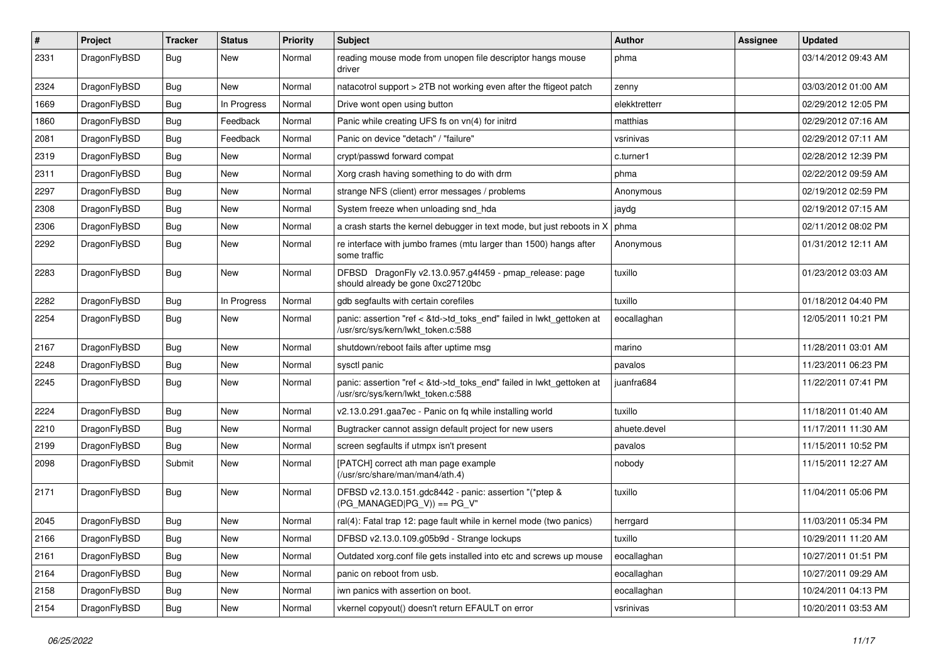| $\sharp$ | Project      | <b>Tracker</b> | <b>Status</b> | <b>Priority</b> | Subject                                                                                                    | <b>Author</b> | Assignee | <b>Updated</b>      |
|----------|--------------|----------------|---------------|-----------------|------------------------------------------------------------------------------------------------------------|---------------|----------|---------------------|
| 2331     | DragonFlyBSD | Bug            | <b>New</b>    | Normal          | reading mouse mode from unopen file descriptor hangs mouse<br>driver                                       | phma          |          | 03/14/2012 09:43 AM |
| 2324     | DragonFlyBSD | Bug            | New           | Normal          | natacotrol support > 2TB not working even after the ftigeot patch                                          | zenny         |          | 03/03/2012 01:00 AM |
| 1669     | DragonFlyBSD | <b>Bug</b>     | In Progress   | Normal          | Drive wont open using button                                                                               | elekktretterr |          | 02/29/2012 12:05 PM |
| 1860     | DragonFlyBSD | <b>Bug</b>     | Feedback      | Normal          | Panic while creating UFS fs on vn(4) for initrd                                                            | matthias      |          | 02/29/2012 07:16 AM |
| 2081     | DragonFlyBSD | <b>Bug</b>     | Feedback      | Normal          | Panic on device "detach" / "failure"                                                                       | vsrinivas     |          | 02/29/2012 07:11 AM |
| 2319     | DragonFlyBSD | <b>Bug</b>     | <b>New</b>    | Normal          | crypt/passwd forward compat                                                                                | c.turner1     |          | 02/28/2012 12:39 PM |
| 2311     | DragonFlyBSD | <b>Bug</b>     | <b>New</b>    | Normal          | Xorg crash having something to do with drm                                                                 | phma          |          | 02/22/2012 09:59 AM |
| 2297     | DragonFlyBSD | <b>Bug</b>     | New           | Normal          | strange NFS (client) error messages / problems                                                             | Anonymous     |          | 02/19/2012 02:59 PM |
| 2308     | DragonFlyBSD | <b>Bug</b>     | <b>New</b>    | Normal          | System freeze when unloading snd_hda                                                                       | jaydg         |          | 02/19/2012 07:15 AM |
| 2306     | DragonFlyBSD | <b>Bug</b>     | New           | Normal          | a crash starts the kernel debugger in text mode, but just reboots in X                                     | phma          |          | 02/11/2012 08:02 PM |
| 2292     | DragonFlyBSD | Bug            | New           | Normal          | re interface with jumbo frames (mtu larger than 1500) hangs after<br>some traffic                          | Anonymous     |          | 01/31/2012 12:11 AM |
| 2283     | DragonFlyBSD | <b>Bug</b>     | New           | Normal          | DFBSD DragonFly v2.13.0.957.g4f459 - pmap_release: page<br>should already be gone 0xc27120bc               | tuxillo       |          | 01/23/2012 03:03 AM |
| 2282     | DragonFlyBSD | Bug            | In Progress   | Normal          | gdb segfaults with certain corefiles                                                                       | tuxillo       |          | 01/18/2012 04:40 PM |
| 2254     | DragonFlyBSD | <b>Bug</b>     | New           | Normal          | panic: assertion "ref < &td->td_toks_end" failed in lwkt_gettoken at<br>/usr/src/sys/kern/lwkt_token.c:588 | eocallaghan   |          | 12/05/2011 10:21 PM |
| 2167     | DragonFlyBSD | <b>Bug</b>     | <b>New</b>    | Normal          | shutdown/reboot fails after uptime msg                                                                     | marino        |          | 11/28/2011 03:01 AM |
| 2248     | DragonFlyBSD | <b>Bug</b>     | New           | Normal          | sysctl panic                                                                                               | pavalos       |          | 11/23/2011 06:23 PM |
| 2245     | DragonFlyBSD | <b>Bug</b>     | <b>New</b>    | Normal          | panic: assertion "ref < &td->td_toks_end" failed in lwkt_gettoken at<br>/usr/src/sys/kern/lwkt_token.c:588 | juanfra684    |          | 11/22/2011 07:41 PM |
| 2224     | DragonFlyBSD | Bug            | <b>New</b>    | Normal          | v2.13.0.291.gaa7ec - Panic on fq while installing world                                                    | tuxillo       |          | 11/18/2011 01:40 AM |
| 2210     | DragonFlyBSD | Bug            | New           | Normal          | Bugtracker cannot assign default project for new users                                                     | ahuete.devel  |          | 11/17/2011 11:30 AM |
| 2199     | DragonFlyBSD | <b>Bug</b>     | <b>New</b>    | Normal          | screen segfaults if utmpx isn't present                                                                    | pavalos       |          | 11/15/2011 10:52 PM |
| 2098     | DragonFlyBSD | Submit         | <b>New</b>    | Normal          | [PATCH] correct ath man page example<br>(/usr/src/share/man/man4/ath.4)                                    | nobody        |          | 11/15/2011 12:27 AM |
| 2171     | DragonFlyBSD | Bug            | New           | Normal          | DFBSD v2.13.0.151.gdc8442 - panic: assertion "(*ptep &<br>$(PG_MANAGED PG_V)) == PG_V"$                    | tuxillo       |          | 11/04/2011 05:06 PM |
| 2045     | DragonFlyBSD | Bug            | <b>New</b>    | Normal          | ral(4): Fatal trap 12: page fault while in kernel mode (two panics)                                        | herrgard      |          | 11/03/2011 05:34 PM |
| 2166     | DragonFlyBSD | Bug            | New           | Normal          | DFBSD v2.13.0.109.g05b9d - Strange lockups                                                                 | tuxillo       |          | 10/29/2011 11:20 AM |
| 2161     | DragonFlyBSD | <b>Bug</b>     | New           | Normal          | Outdated xorg.conf file gets installed into etc and screws up mouse                                        | eocallaghan   |          | 10/27/2011 01:51 PM |
| 2164     | DragonFlyBSD | Bug            | New           | Normal          | panic on reboot from usb.                                                                                  | eocallaghan   |          | 10/27/2011 09:29 AM |
| 2158     | DragonFlyBSD | <b>Bug</b>     | New           | Normal          | iwn panics with assertion on boot.                                                                         | eocallaghan   |          | 10/24/2011 04:13 PM |
| 2154     | DragonFlyBSD | <b>Bug</b>     | New           | Normal          | vkernel copyout() doesn't return EFAULT on error                                                           | vsrinivas     |          | 10/20/2011 03:53 AM |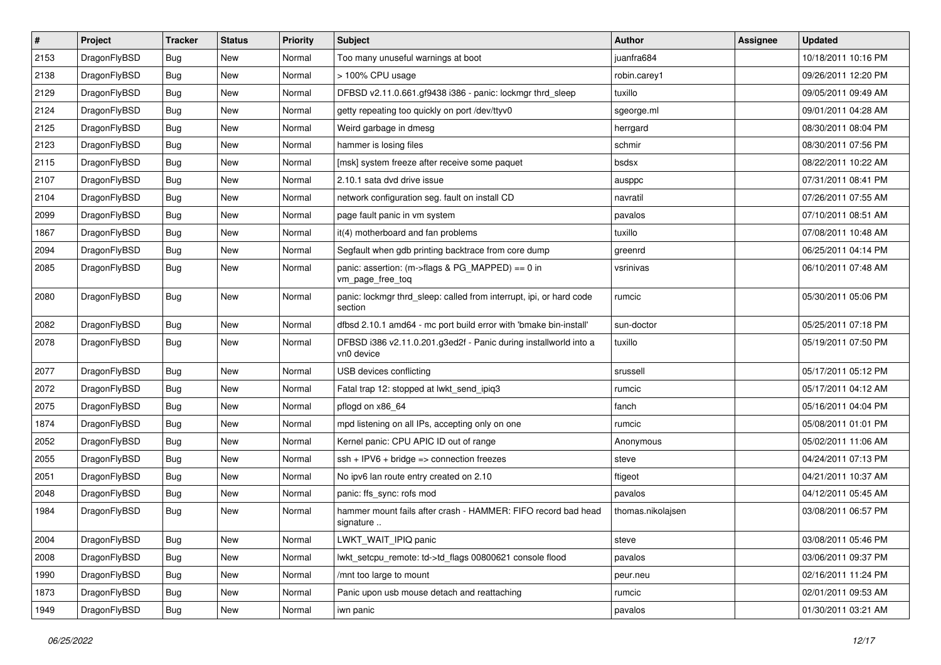| $\vert$ # | Project      | <b>Tracker</b> | <b>Status</b> | <b>Priority</b> | Subject                                                                        | <b>Author</b>     | Assignee | <b>Updated</b>      |
|-----------|--------------|----------------|---------------|-----------------|--------------------------------------------------------------------------------|-------------------|----------|---------------------|
| 2153      | DragonFlyBSD | Bug            | <b>New</b>    | Normal          | Too many unuseful warnings at boot                                             | juanfra684        |          | 10/18/2011 10:16 PM |
| 2138      | DragonFlyBSD | Bug            | <b>New</b>    | Normal          | > 100% CPU usage                                                               | robin.carey1      |          | 09/26/2011 12:20 PM |
| 2129      | DragonFlyBSD | Bug            | <b>New</b>    | Normal          | DFBSD v2.11.0.661.gf9438 i386 - panic: lockmgr thrd sleep                      | tuxillo           |          | 09/05/2011 09:49 AM |
| 2124      | DragonFlyBSD | Bug            | New           | Normal          | getty repeating too quickly on port /dev/ttyv0                                 | sgeorge.ml        |          | 09/01/2011 04:28 AM |
| 2125      | DragonFlyBSD | Bug            | <b>New</b>    | Normal          | Weird garbage in dmesg                                                         | herrgard          |          | 08/30/2011 08:04 PM |
| 2123      | DragonFlyBSD | Bug            | New           | Normal          | hammer is losing files                                                         | schmir            |          | 08/30/2011 07:56 PM |
| 2115      | DragonFlyBSD | Bug            | <b>New</b>    | Normal          | [msk] system freeze after receive some paquet                                  | bsdsx             |          | 08/22/2011 10:22 AM |
| 2107      | DragonFlyBSD | Bug            | New           | Normal          | 2.10.1 sata dvd drive issue                                                    | ausppc            |          | 07/31/2011 08:41 PM |
| 2104      | DragonFlyBSD | <b>Bug</b>     | <b>New</b>    | Normal          | network configuration seg. fault on install CD                                 | navratil          |          | 07/26/2011 07:55 AM |
| 2099      | DragonFlyBSD | Bug            | New           | Normal          | page fault panic in vm system                                                  | pavalos           |          | 07/10/2011 08:51 AM |
| 1867      | DragonFlyBSD | Bug            | <b>New</b>    | Normal          | it(4) motherboard and fan problems                                             | tuxillo           |          | 07/08/2011 10:48 AM |
| 2094      | DragonFlyBSD | Bug            | <b>New</b>    | Normal          | Segfault when gdb printing backtrace from core dump                            | greenrd           |          | 06/25/2011 04:14 PM |
| 2085      | DragonFlyBSD | Bug            | New           | Normal          | panic: assertion: (m->flags & PG_MAPPED) == 0 in<br>vm_page_free_toq           | vsrinivas         |          | 06/10/2011 07:48 AM |
| 2080      | DragonFlyBSD | Bug            | <b>New</b>    | Normal          | panic: lockmgr thrd sleep: called from interrupt, ipi, or hard code<br>section | rumcic            |          | 05/30/2011 05:06 PM |
| 2082      | DragonFlyBSD | Bug            | <b>New</b>    | Normal          | dfbsd 2.10.1 amd64 - mc port build error with 'bmake bin-install'              | sun-doctor        |          | 05/25/2011 07:18 PM |
| 2078      | DragonFlyBSD | Bug            | New           | Normal          | DFBSD i386 v2.11.0.201.g3ed2f - Panic during installworld into a<br>vn0 device | tuxillo           |          | 05/19/2011 07:50 PM |
| 2077      | DragonFlyBSD | Bug            | <b>New</b>    | Normal          | USB devices conflicting                                                        | srussell          |          | 05/17/2011 05:12 PM |
| 2072      | DragonFlyBSD | Bug            | New           | Normal          | Fatal trap 12: stopped at lwkt send ipig3                                      | rumcic            |          | 05/17/2011 04:12 AM |
| 2075      | DragonFlyBSD | Bug            | New           | Normal          | pflogd on x86 64                                                               | fanch             |          | 05/16/2011 04:04 PM |
| 1874      | DragonFlyBSD | Bug            | <b>New</b>    | Normal          | mpd listening on all IPs, accepting only on one                                | rumcic            |          | 05/08/2011 01:01 PM |
| 2052      | DragonFlyBSD | Bug            | New           | Normal          | Kernel panic: CPU APIC ID out of range                                         | Anonymous         |          | 05/02/2011 11:06 AM |
| 2055      | DragonFlyBSD | <b>Bug</b>     | <b>New</b>    | Normal          | ssh + IPV6 + bridge => connection freezes                                      | steve             |          | 04/24/2011 07:13 PM |
| 2051      | DragonFlyBSD | Bug            | New           | Normal          | No ipv6 lan route entry created on 2.10                                        | ftigeot           |          | 04/21/2011 10:37 AM |
| 2048      | DragonFlyBSD | Bug            | New           | Normal          | panic: ffs_sync: rofs mod                                                      | pavalos           |          | 04/12/2011 05:45 AM |
| 1984      | DragonFlyBSD | Bug            | <b>New</b>    | Normal          | hammer mount fails after crash - HAMMER: FIFO record bad head<br>signature     | thomas.nikolajsen |          | 03/08/2011 06:57 PM |
| 2004      | DragonFlyBSD | <b>Bug</b>     | New           | Normal          | LWKT_WAIT_IPIQ panic                                                           | steve             |          | 03/08/2011 05:46 PM |
| 2008      | DragonFlyBSD | <b>Bug</b>     | New           | Normal          | lwkt_setcpu_remote: td->td_flags 00800621 console flood                        | pavalos           |          | 03/06/2011 09:37 PM |
| 1990      | DragonFlyBSD | <b>Bug</b>     | New           | Normal          | /mnt too large to mount                                                        | peur.neu          |          | 02/16/2011 11:24 PM |
| 1873      | DragonFlyBSD | <b>Bug</b>     | New           | Normal          | Panic upon usb mouse detach and reattaching                                    | rumcic            |          | 02/01/2011 09:53 AM |
| 1949      | DragonFlyBSD | <b>Bug</b>     | New           | Normal          | iwn panic                                                                      | pavalos           |          | 01/30/2011 03:21 AM |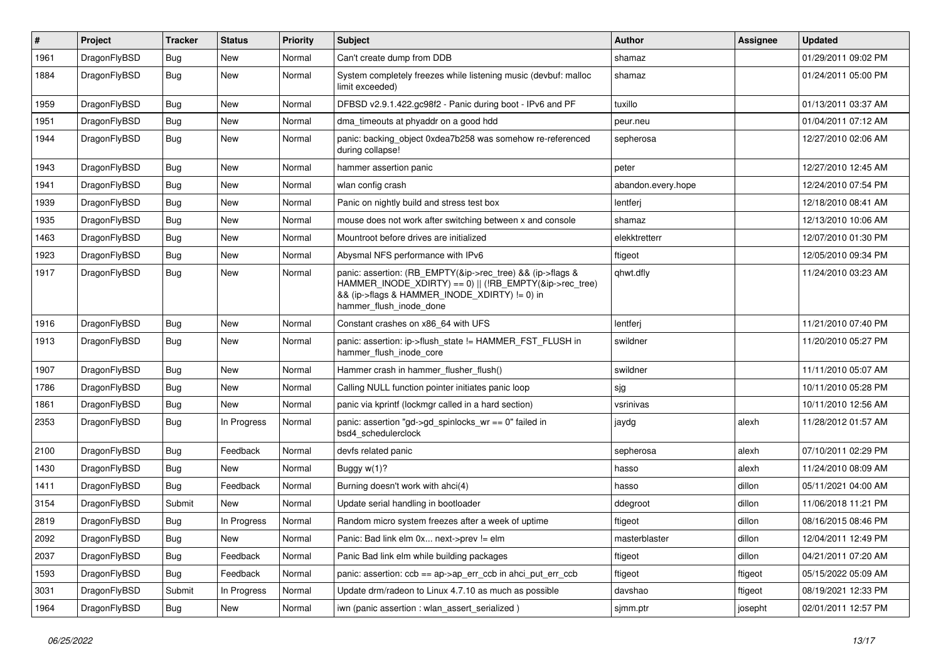| #    | Project      | <b>Tracker</b> | <b>Status</b> | <b>Priority</b> | <b>Subject</b>                                                                                                                                                                                    | Author             | Assignee | Updated             |
|------|--------------|----------------|---------------|-----------------|---------------------------------------------------------------------------------------------------------------------------------------------------------------------------------------------------|--------------------|----------|---------------------|
| 1961 | DragonFlyBSD | Bug            | <b>New</b>    | Normal          | Can't create dump from DDB                                                                                                                                                                        | shamaz             |          | 01/29/2011 09:02 PM |
| 1884 | DragonFlyBSD | <b>Bug</b>     | New           | Normal          | System completely freezes while listening music (devbuf: malloc<br>limit exceeded)                                                                                                                | shamaz             |          | 01/24/2011 05:00 PM |
| 1959 | DragonFlyBSD | Bug            | New           | Normal          | DFBSD v2.9.1.422.gc98f2 - Panic during boot - IPv6 and PF                                                                                                                                         | tuxillo            |          | 01/13/2011 03:37 AM |
| 1951 | DragonFlyBSD | Bug            | New           | Normal          | dma_timeouts at phyaddr on a good hdd                                                                                                                                                             | peur.neu           |          | 01/04/2011 07:12 AM |
| 1944 | DragonFlyBSD | Bug            | <b>New</b>    | Normal          | panic: backing object 0xdea7b258 was somehow re-referenced<br>during collapse!                                                                                                                    | sepherosa          |          | 12/27/2010 02:06 AM |
| 1943 | DragonFlyBSD | Bug            | New           | Normal          | hammer assertion panic                                                                                                                                                                            | peter              |          | 12/27/2010 12:45 AM |
| 1941 | DragonFlyBSD | <b>Bug</b>     | New           | Normal          | wlan config crash                                                                                                                                                                                 | abandon.every.hope |          | 12/24/2010 07:54 PM |
| 1939 | DragonFlyBSD | <b>Bug</b>     | <b>New</b>    | Normal          | Panic on nightly build and stress test box                                                                                                                                                        | lentferj           |          | 12/18/2010 08:41 AM |
| 1935 | DragonFlyBSD | <b>Bug</b>     | New           | Normal          | mouse does not work after switching between x and console                                                                                                                                         | shamaz             |          | 12/13/2010 10:06 AM |
| 1463 | DragonFlyBSD | <b>Bug</b>     | New           | Normal          | Mountroot before drives are initialized                                                                                                                                                           | elekktretterr      |          | 12/07/2010 01:30 PM |
| 1923 | DragonFlyBSD | <b>Bug</b>     | New           | Normal          | Abysmal NFS performance with IPv6                                                                                                                                                                 | ftigeot            |          | 12/05/2010 09:34 PM |
| 1917 | DragonFlyBSD | Bug            | <b>New</b>    | Normal          | panic: assertion: (RB_EMPTY(&ip->rec_tree) && (ip->flags &<br>HAMMER_INODE_XDIRTY) == 0)    (!RB_EMPTY(&ip->rec_tree)<br>&& (ip->flags & HAMMER_INODE_XDIRTY) != 0) in<br>hammer flush inode done | qhwt.dfly          |          | 11/24/2010 03:23 AM |
| 1916 | DragonFlyBSD | <b>Bug</b>     | New           | Normal          | Constant crashes on x86_64 with UFS                                                                                                                                                               | lentferj           |          | 11/21/2010 07:40 PM |
| 1913 | DragonFlyBSD | <b>Bug</b>     | <b>New</b>    | Normal          | panic: assertion: ip->flush_state != HAMMER_FST_FLUSH in<br>hammer_flush_inode_core                                                                                                               | swildner           |          | 11/20/2010 05:27 PM |
| 1907 | DragonFlyBSD | <b>Bug</b>     | <b>New</b>    | Normal          | Hammer crash in hammer_flusher_flush()                                                                                                                                                            | swildner           |          | 11/11/2010 05:07 AM |
| 1786 | DragonFlyBSD | <b>Bug</b>     | New           | Normal          | Calling NULL function pointer initiates panic loop                                                                                                                                                | sjg                |          | 10/11/2010 05:28 PM |
| 1861 | DragonFlyBSD | <b>Bug</b>     | New           | Normal          | panic via kprintf (lockmgr called in a hard section)                                                                                                                                              | vsrinivas          |          | 10/11/2010 12:56 AM |
| 2353 | DragonFlyBSD | <b>Bug</b>     | In Progress   | Normal          | panic: assertion "gd->gd_spinlocks_wr == 0" failed in<br>bsd4_schedulerclock                                                                                                                      | jaydg              | alexh    | 11/28/2012 01:57 AM |
| 2100 | DragonFlyBSD | <b>Bug</b>     | Feedback      | Normal          | devfs related panic                                                                                                                                                                               | sepherosa          | alexh    | 07/10/2011 02:29 PM |
| 1430 | DragonFlyBSD | <b>Bug</b>     | New           | Normal          | Buggy $w(1)$ ?                                                                                                                                                                                    | hasso              | alexh    | 11/24/2010 08:09 AM |
| 1411 | DragonFlyBSD | <b>Bug</b>     | Feedback      | Normal          | Burning doesn't work with ahci(4)                                                                                                                                                                 | hasso              | dillon   | 05/11/2021 04:00 AM |
| 3154 | DragonFlyBSD | Submit         | New           | Normal          | Update serial handling in bootloader                                                                                                                                                              | ddegroot           | dillon   | 11/06/2018 11:21 PM |
| 2819 | DragonFlyBSD | Bug            | In Progress   | Normal          | Random micro system freezes after a week of uptime                                                                                                                                                | ftigeot            | dillon   | 08/16/2015 08:46 PM |
| 2092 | DragonFlyBSD | <b>Bug</b>     | New           | Normal          | Panic: Bad link elm 0x next->prev != elm                                                                                                                                                          | masterblaster      | dillon   | 12/04/2011 12:49 PM |
| 2037 | DragonFlyBSD | Bug            | Feedback      | Normal          | Panic Bad link elm while building packages                                                                                                                                                        | ftigeot            | dillon   | 04/21/2011 07:20 AM |
| 1593 | DragonFlyBSD | Bug            | Feedback      | Normal          | panic: assertion: ccb == ap->ap_err_ccb in ahci_put_err_ccb                                                                                                                                       | ftigeot            | ftigeot  | 05/15/2022 05:09 AM |
| 3031 | DragonFlyBSD | Submit         | In Progress   | Normal          | Update drm/radeon to Linux 4.7.10 as much as possible                                                                                                                                             | davshao            | ftigeot  | 08/19/2021 12:33 PM |
| 1964 | DragonFlyBSD | <b>Bug</b>     | New           | Normal          | iwn (panic assertion : wlan assert serialized)                                                                                                                                                    | sjmm.ptr           | josepht  | 02/01/2011 12:57 PM |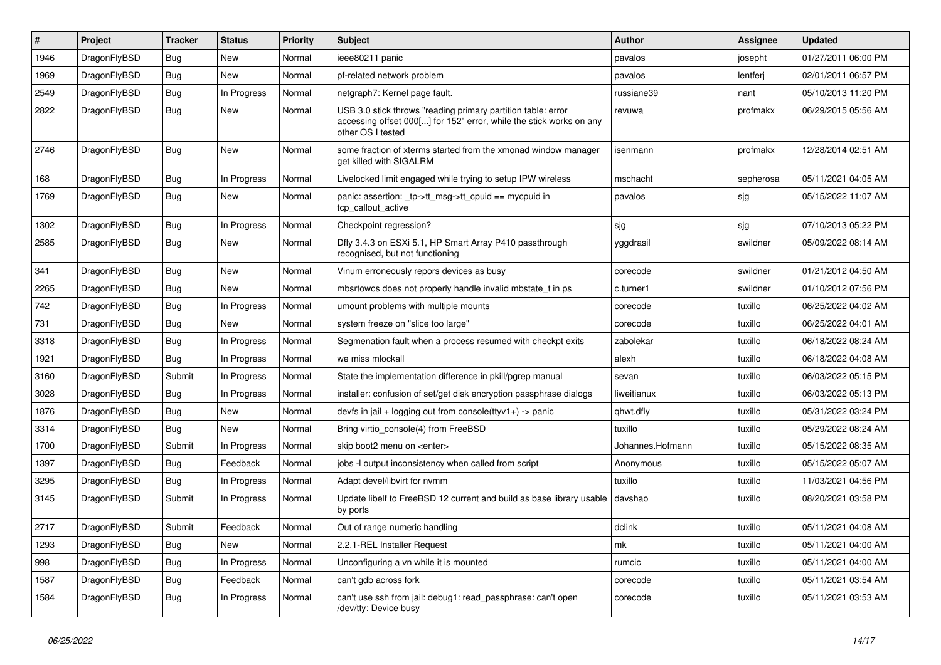| #    | Project      | <b>Tracker</b> | <b>Status</b> | <b>Priority</b> | Subject                                                                                                                                                  | Author           | <b>Assignee</b> | <b>Updated</b>      |
|------|--------------|----------------|---------------|-----------------|----------------------------------------------------------------------------------------------------------------------------------------------------------|------------------|-----------------|---------------------|
| 1946 | DragonFlyBSD | <b>Bug</b>     | <b>New</b>    | Normal          | ieee80211 panic                                                                                                                                          | pavalos          | josepht         | 01/27/2011 06:00 PM |
| 1969 | DragonFlyBSD | <b>Bug</b>     | New           | Normal          | pf-related network problem                                                                                                                               | pavalos          | lentferj        | 02/01/2011 06:57 PM |
| 2549 | DragonFlyBSD | <b>Bug</b>     | In Progress   | Normal          | netgraph7: Kernel page fault.                                                                                                                            | russiane39       | nant            | 05/10/2013 11:20 PM |
| 2822 | DragonFlyBSD | <b>Bug</b>     | New           | Normal          | USB 3.0 stick throws "reading primary partition table: error<br>accessing offset 000[] for 152" error, while the stick works on any<br>other OS I tested | revuwa           | profmakx        | 06/29/2015 05:56 AM |
| 2746 | DragonFlyBSD | <b>Bug</b>     | New           | Normal          | some fraction of xterms started from the xmonad window manager<br>get killed with SIGALRM                                                                | isenmann         | profmakx        | 12/28/2014 02:51 AM |
| 168  | DragonFlyBSD | <b>Bug</b>     | In Progress   | Normal          | Livelocked limit engaged while trying to setup IPW wireless                                                                                              | mschacht         | sepherosa       | 05/11/2021 04:05 AM |
| 1769 | DragonFlyBSD | <b>Bug</b>     | New           | Normal          | panic: assertion: _tp->tt_msg->tt_cpuid == mycpuid in<br>tcp callout active                                                                              | pavalos          | sjg             | 05/15/2022 11:07 AM |
| 1302 | DragonFlyBSD | <b>Bug</b>     | In Progress   | Normal          | Checkpoint regression?                                                                                                                                   | sjg              | sjg             | 07/10/2013 05:22 PM |
| 2585 | DragonFlyBSD | <b>Bug</b>     | New           | Normal          | Dfly 3.4.3 on ESXi 5.1, HP Smart Array P410 passthrough<br>recognised, but not functioning                                                               | yggdrasil        | swildner        | 05/09/2022 08:14 AM |
| 341  | DragonFlyBSD | <b>Bug</b>     | New           | Normal          | Vinum erroneously repors devices as busy                                                                                                                 | corecode         | swildner        | 01/21/2012 04:50 AM |
| 2265 | DragonFlyBSD | <b>Bug</b>     | New           | Normal          | mbsrtowcs does not properly handle invalid mbstate t in ps                                                                                               | c.turner1        | swildner        | 01/10/2012 07:56 PM |
| 742  | DragonFlyBSD | <b>Bug</b>     | In Progress   | Normal          | umount problems with multiple mounts                                                                                                                     | corecode         | tuxillo         | 06/25/2022 04:02 AM |
| 731  | DragonFlyBSD | Bug            | New           | Normal          | system freeze on "slice too large"                                                                                                                       | corecode         | tuxillo         | 06/25/2022 04:01 AM |
| 3318 | DragonFlyBSD | <b>Bug</b>     | In Progress   | Normal          | Segmenation fault when a process resumed with checkpt exits                                                                                              | zabolekar        | tuxillo         | 06/18/2022 08:24 AM |
| 1921 | DragonFlyBSD | <b>Bug</b>     | In Progress   | Normal          | we miss mlockall                                                                                                                                         | alexh            | tuxillo         | 06/18/2022 04:08 AM |
| 3160 | DragonFlyBSD | Submit         | In Progress   | Normal          | State the implementation difference in pkill/pgrep manual                                                                                                | sevan            | tuxillo         | 06/03/2022 05:15 PM |
| 3028 | DragonFlyBSD | <b>Bug</b>     | In Progress   | Normal          | installer: confusion of set/get disk encryption passphrase dialogs                                                                                       | liweitianux      | tuxillo         | 06/03/2022 05:13 PM |
| 1876 | DragonFlyBSD | <b>Bug</b>     | New           | Normal          | devfs in jail + logging out from console(ttyv1+) -> panic                                                                                                | qhwt.dfly        | tuxillo         | 05/31/2022 03:24 PM |
| 3314 | DragonFlyBSD | <b>Bug</b>     | New           | Normal          | Bring virtio console(4) from FreeBSD                                                                                                                     | tuxillo          | tuxillo         | 05/29/2022 08:24 AM |
| 1700 | DragonFlyBSD | Submit         | In Progress   | Normal          | skip boot2 menu on <enter></enter>                                                                                                                       | Johannes.Hofmann | tuxillo         | 05/15/2022 08:35 AM |
| 1397 | DragonFlyBSD | Bug            | Feedback      | Normal          | jobs -I output inconsistency when called from script                                                                                                     | Anonymous        | tuxillo         | 05/15/2022 05:07 AM |
| 3295 | DragonFlyBSD | <b>Bug</b>     | In Progress   | Normal          | Adapt devel/libvirt for nvmm                                                                                                                             | tuxillo          | tuxillo         | 11/03/2021 04:56 PM |
| 3145 | DragonFlyBSD | Submit         | In Progress   | Normal          | Update libelf to FreeBSD 12 current and build as base library usable<br>by ports                                                                         | davshao          | tuxillo         | 08/20/2021 03:58 PM |
| 2717 | DragonFlyBSD | Submit         | Feedback      | Normal          | Out of range numeric handling                                                                                                                            | dclink           | tuxillo         | 05/11/2021 04:08 AM |
| 1293 | DragonFlyBSD | <b>Bug</b>     | New           | Normal          | 2.2.1-REL Installer Request                                                                                                                              | mk               | tuxillo         | 05/11/2021 04:00 AM |
| 998  | DragonFlyBSD | <b>Bug</b>     | In Progress   | Normal          | Unconfiguring a vn while it is mounted                                                                                                                   | rumcic           | tuxillo         | 05/11/2021 04:00 AM |
| 1587 | DragonFlyBSD | <b>Bug</b>     | Feedback      | Normal          | can't gdb across fork                                                                                                                                    | corecode         | tuxillo         | 05/11/2021 03:54 AM |
| 1584 | DragonFlyBSD | <b>Bug</b>     | In Progress   | Normal          | can't use ssh from jail: debug1: read_passphrase: can't open<br>/dev/tty: Device busy                                                                    | corecode         | tuxillo         | 05/11/2021 03:53 AM |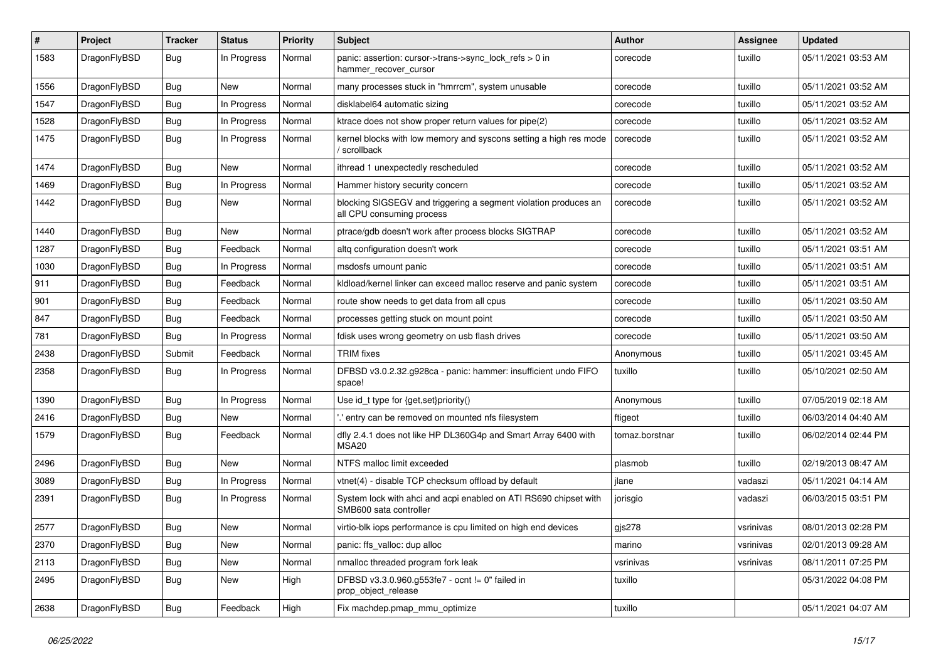| $\#$ | Project      | <b>Tracker</b> | <b>Status</b> | <b>Priority</b> | Subject                                                                                      | Author         | <b>Assignee</b> | <b>Updated</b>      |
|------|--------------|----------------|---------------|-----------------|----------------------------------------------------------------------------------------------|----------------|-----------------|---------------------|
| 1583 | DragonFlyBSD | <b>Bug</b>     | In Progress   | Normal          | panic: assertion: cursor->trans->sync_lock_refs > 0 in<br>hammer_recover_cursor              | corecode       | tuxillo         | 05/11/2021 03:53 AM |
| 1556 | DragonFlyBSD | <b>Bug</b>     | <b>New</b>    | Normal          | many processes stuck in "hmrrcm", system unusable                                            | corecode       | tuxillo         | 05/11/2021 03:52 AM |
| 1547 | DragonFlyBSD | <b>Bug</b>     | In Progress   | Normal          | disklabel64 automatic sizing                                                                 | corecode       | tuxillo         | 05/11/2021 03:52 AM |
| 1528 | DragonFlyBSD | <b>Bug</b>     | In Progress   | Normal          | ktrace does not show proper return values for pipe(2)                                        | corecode       | tuxillo         | 05/11/2021 03:52 AM |
| 1475 | DragonFlyBSD | <b>Bug</b>     | In Progress   | Normal          | kernel blocks with low memory and syscons setting a high res mode<br>/ scrollback            | corecode       | tuxillo         | 05/11/2021 03:52 AM |
| 1474 | DragonFlyBSD | Bug            | New           | Normal          | ithread 1 unexpectedly rescheduled                                                           | corecode       | tuxillo         | 05/11/2021 03:52 AM |
| 1469 | DragonFlyBSD | Bug            | In Progress   | Normal          | Hammer history security concern                                                              | corecode       | tuxillo         | 05/11/2021 03:52 AM |
| 1442 | DragonFlyBSD | Bug            | New           | Normal          | blocking SIGSEGV and triggering a segment violation produces an<br>all CPU consuming process | corecode       | tuxillo         | 05/11/2021 03:52 AM |
| 1440 | DragonFlyBSD | Bug            | New           | Normal          | ptrace/gdb doesn't work after process blocks SIGTRAP                                         | corecode       | tuxillo         | 05/11/2021 03:52 AM |
| 1287 | DragonFlyBSD | Bug            | Feedback      | Normal          | altg configuration doesn't work                                                              | corecode       | tuxillo         | 05/11/2021 03:51 AM |
| 1030 | DragonFlyBSD | Bug            | In Progress   | Normal          | msdosfs umount panic                                                                         | corecode       | tuxillo         | 05/11/2021 03:51 AM |
| 911  | DragonFlyBSD | Bug            | Feedback      | Normal          | kldload/kernel linker can exceed malloc reserve and panic system                             | corecode       | tuxillo         | 05/11/2021 03:51 AM |
| 901  | DragonFlyBSD | <b>Bug</b>     | Feedback      | Normal          | route show needs to get data from all cpus                                                   | corecode       | tuxillo         | 05/11/2021 03:50 AM |
| 847  | DragonFlyBSD | Bug            | Feedback      | Normal          | processes getting stuck on mount point                                                       | corecode       | tuxillo         | 05/11/2021 03:50 AM |
| 781  | DragonFlyBSD | Bug            | In Progress   | Normal          | fdisk uses wrong geometry on usb flash drives                                                | corecode       | tuxillo         | 05/11/2021 03:50 AM |
| 2438 | DragonFlyBSD | Submit         | Feedback      | Normal          | <b>TRIM</b> fixes                                                                            | Anonymous      | tuxillo         | 05/11/2021 03:45 AM |
| 2358 | DragonFlyBSD | Bug            | In Progress   | Normal          | DFBSD v3.0.2.32.g928ca - panic: hammer: insufficient undo FIFO<br>space!                     | tuxillo        | tuxillo         | 05/10/2021 02:50 AM |
| 1390 | DragonFlyBSD | Bug            | In Progress   | Normal          | Use id_t type for {get,set}priority()                                                        | Anonymous      | tuxillo         | 07/05/2019 02:18 AM |
| 2416 | DragonFlyBSD | Bug            | New           | Normal          | ".' entry can be removed on mounted nfs filesystem                                           | ftigeot        | tuxillo         | 06/03/2014 04:40 AM |
| 1579 | DragonFlyBSD | Bug            | Feedback      | Normal          | dfly 2.4.1 does not like HP DL360G4p and Smart Array 6400 with<br>MSA20                      | tomaz.borstnar | tuxillo         | 06/02/2014 02:44 PM |
| 2496 | DragonFlyBSD | Bug            | New           | Normal          | NTFS malloc limit exceeded                                                                   | plasmob        | tuxillo         | 02/19/2013 08:47 AM |
| 3089 | DragonFlyBSD | Bug            | In Progress   | Normal          | vtnet(4) - disable TCP checksum offload by default                                           | jlane          | vadaszi         | 05/11/2021 04:14 AM |
| 2391 | DragonFlyBSD | Bug            | In Progress   | Normal          | System lock with ahci and acpi enabled on ATI RS690 chipset with<br>SMB600 sata controller   | jorisgio       | vadaszi         | 06/03/2015 03:51 PM |
| 2577 | DragonFlyBSD | Bug            | <b>New</b>    | Normal          | virtio-blk iops performance is cpu limited on high end devices                               | $g$ js278      | vsrinivas       | 08/01/2013 02:28 PM |
| 2370 | DragonFlyBSD | <b>Bug</b>     | New           | Normal          | panic: ffs_valloc: dup alloc                                                                 | marino         | vsrinivas       | 02/01/2013 09:28 AM |
| 2113 | DragonFlyBSD | <b>Bug</b>     | New           | Normal          | nmalloc threaded program fork leak                                                           | vsrinivas      | vsrinivas       | 08/11/2011 07:25 PM |
| 2495 | DragonFlyBSD | <b>Bug</b>     | New           | High            | DFBSD v3.3.0.960.g553fe7 - ocnt != 0" failed in<br>prop_object_release                       | tuxillo        |                 | 05/31/2022 04:08 PM |
| 2638 | DragonFlyBSD | <b>Bug</b>     | Feedback      | High            | Fix machdep.pmap_mmu_optimize                                                                | tuxillo        |                 | 05/11/2021 04:07 AM |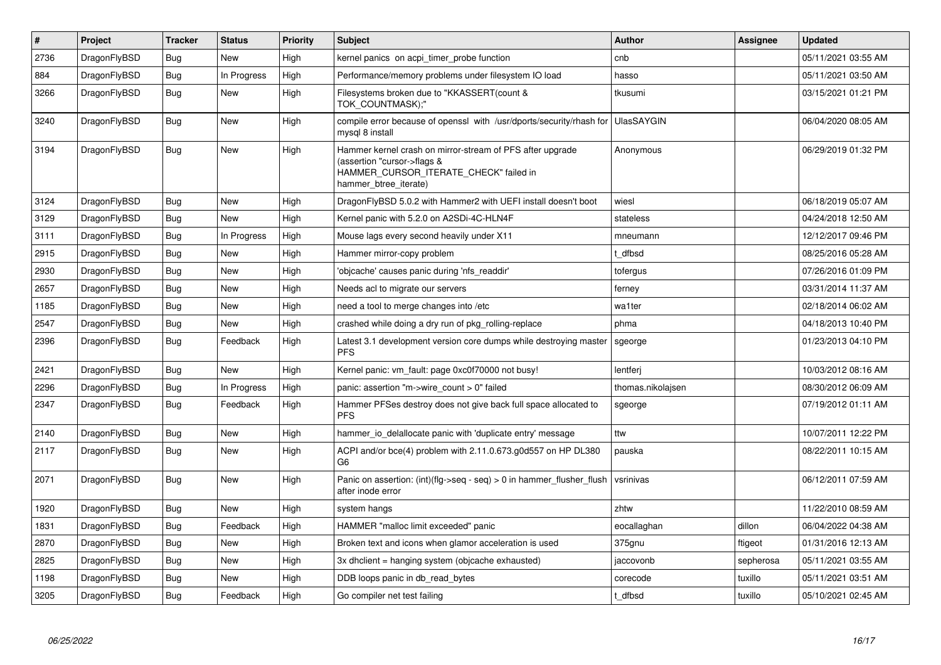| $\vert$ # | Project      | <b>Tracker</b> | <b>Status</b> | <b>Priority</b> | <b>Subject</b>                                                                                                                                              | <b>Author</b>     | Assignee  | Updated             |
|-----------|--------------|----------------|---------------|-----------------|-------------------------------------------------------------------------------------------------------------------------------------------------------------|-------------------|-----------|---------------------|
| 2736      | DragonFlyBSD | Bug            | New           | High            | kernel panics on acpi timer probe function                                                                                                                  | cnb               |           | 05/11/2021 03:55 AM |
| 884       | DragonFlyBSD | <b>Bug</b>     | In Progress   | High            | Performance/memory problems under filesystem IO load                                                                                                        | hasso             |           | 05/11/2021 03:50 AM |
| 3266      | DragonFlyBSD | <b>Bug</b>     | <b>New</b>    | High            | Filesystems broken due to "KKASSERT(count &<br>TOK COUNTMASK);"                                                                                             | tkusumi           |           | 03/15/2021 01:21 PM |
| 3240      | DragonFlyBSD | <b>Bug</b>     | New           | High            | compile error because of openssl with /usr/dports/security/rhash for<br>mysgl 8 install                                                                     | <b>UlasSAYGIN</b> |           | 06/04/2020 08:05 AM |
| 3194      | DragonFlyBSD | <b>Bug</b>     | New           | High            | Hammer kernel crash on mirror-stream of PFS after upgrade<br>(assertion "cursor->flags &<br>HAMMER_CURSOR_ITERATE_CHECK" failed in<br>hammer btree iterate) | Anonymous         |           | 06/29/2019 01:32 PM |
| 3124      | DragonFlyBSD | <b>Bug</b>     | <b>New</b>    | High            | DragonFlyBSD 5.0.2 with Hammer2 with UEFI install doesn't boot                                                                                              | wiesl             |           | 06/18/2019 05:07 AM |
| 3129      | DragonFlyBSD | <b>Bug</b>     | New           | High            | Kernel panic with 5.2.0 on A2SDi-4C-HLN4F                                                                                                                   | stateless         |           | 04/24/2018 12:50 AM |
| 3111      | DragonFlyBSD | <b>Bug</b>     | In Progress   | High            | Mouse lags every second heavily under X11                                                                                                                   | mneumann          |           | 12/12/2017 09:46 PM |
| 2915      | DragonFlyBSD | Bug            | New           | High            | Hammer mirror-copy problem                                                                                                                                  | t dfbsd           |           | 08/25/2016 05:28 AM |
| 2930      | DragonFlyBSD | Bug            | New           | High            | 'objcache' causes panic during 'nfs readdir'                                                                                                                | tofergus          |           | 07/26/2016 01:09 PM |
| 2657      | DragonFlyBSD | <b>Bug</b>     | New           | High            | Needs acl to migrate our servers                                                                                                                            | ferney            |           | 03/31/2014 11:37 AM |
| 1185      | DragonFlyBSD | <b>Bug</b>     | <b>New</b>    | High            | need a tool to merge changes into /etc                                                                                                                      | wa1ter            |           | 02/18/2014 06:02 AM |
| 2547      | DragonFlyBSD | Bug            | New           | High            | crashed while doing a dry run of pkg rolling-replace                                                                                                        | phma              |           | 04/18/2013 10:40 PM |
| 2396      | DragonFlyBSD | Bug            | Feedback      | High            | Latest 3.1 development version core dumps while destroying master<br><b>PFS</b>                                                                             | sgeorge           |           | 01/23/2013 04:10 PM |
| 2421      | DragonFlyBSD | Bug            | <b>New</b>    | High            | Kernel panic: vm fault: page 0xc0f70000 not busy!                                                                                                           | lentferj          |           | 10/03/2012 08:16 AM |
| 2296      | DragonFlyBSD | <b>Bug</b>     | In Progress   | High            | panic: assertion "m->wire count > 0" failed                                                                                                                 | thomas.nikolajsen |           | 08/30/2012 06:09 AM |
| 2347      | DragonFlyBSD | Bug            | Feedback      | High            | Hammer PFSes destroy does not give back full space allocated to<br><b>PFS</b>                                                                               | sgeorge           |           | 07/19/2012 01:11 AM |
| 2140      | DragonFlyBSD | <b>Bug</b>     | <b>New</b>    | High            | hammer io delallocate panic with 'duplicate entry' message                                                                                                  | ttw               |           | 10/07/2011 12:22 PM |
| 2117      | DragonFlyBSD | <b>Bug</b>     | <b>New</b>    | High            | ACPI and/or bce(4) problem with 2.11.0.673.g0d557 on HP DL380<br>G <sub>6</sub>                                                                             | pauska            |           | 08/22/2011 10:15 AM |
| 2071      | DragonFlyBSD | <b>Bug</b>     | New           | High            | Panic on assertion: $(int)(flag->seq - seq) > 0$ in hammer flusher flush<br>after inode error                                                               | vsrinivas         |           | 06/12/2011 07:59 AM |
| 1920      | DragonFlyBSD | <b>Bug</b>     | <b>New</b>    | High            | system hangs                                                                                                                                                | zhtw              |           | 11/22/2010 08:59 AM |
| 1831      | DragonFlyBSD | <b>Bug</b>     | Feedback      | High            | HAMMER "malloc limit exceeded" panic                                                                                                                        | eocallaghan       | dillon    | 06/04/2022 04:38 AM |
| 2870      | DragonFlyBSD | <b>Bug</b>     | <b>New</b>    | High            | Broken text and icons when glamor acceleration is used                                                                                                      | 375gnu            | ftigeot   | 01/31/2016 12:13 AM |
| 2825      | DragonFlyBSD | Bug            | New           | High            | 3x dholient = hanging system (objoache exhausted)                                                                                                           | jaccovonb         | sepherosa | 05/11/2021 03:55 AM |
| 1198      | DragonFlyBSD | Bug            | New           | High            | DDB loops panic in db read bytes                                                                                                                            | corecode          | tuxillo   | 05/11/2021 03:51 AM |
| 3205      | DragonFlyBSD | Bug            | Feedback      | High            | Go compiler net test failing                                                                                                                                | t_dfbsd           | tuxillo   | 05/10/2021 02:45 AM |